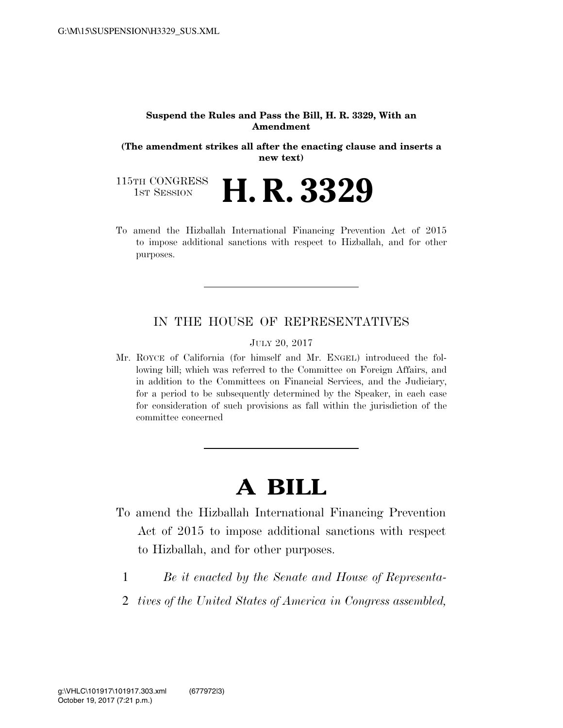#### **Suspend the Rules and Pass the Bill, H. R. 3329, With an Amendment**

**(The amendment strikes all after the enacting clause and inserts a new text)** 

115TH CONGRESS<br>1st Session 1ST SESSION **H. R. 3329** 

To amend the Hizballah International Financing Prevention Act of 2015 to impose additional sanctions with respect to Hizballah, and for other purposes.

### IN THE HOUSE OF REPRESENTATIVES

JULY 20, 2017

Mr. ROYCE of California (for himself and Mr. ENGEL) introduced the following bill; which was referred to the Committee on Foreign Affairs, and in addition to the Committees on Financial Services, and the Judiciary, for a period to be subsequently determined by the Speaker, in each case for consideration of such provisions as fall within the jurisdiction of the committee concerned

# **A BILL**

- To amend the Hizballah International Financing Prevention Act of 2015 to impose additional sanctions with respect to Hizballah, and for other purposes.
	- 1 *Be it enacted by the Senate and House of Representa-*
	- 2 *tives of the United States of America in Congress assembled,*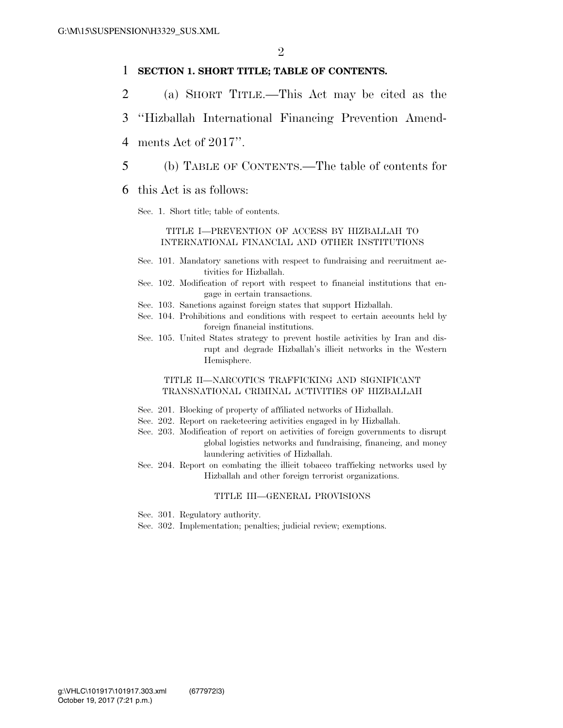### 1 **SECTION 1. SHORT TITLE; TABLE OF CONTENTS.**

- 2 (a) SHORT TITLE.—This Act may be cited as the
- 3 ''Hizballah International Financing Prevention Amend-
- 4 ments Act of 2017''.
- 5 (b) TABLE OF CONTENTS.—The table of contents for
- 6 this Act is as follows:
	- Sec. 1. Short title; table of contents.

#### TITLE I—PREVENTION OF ACCESS BY HIZBALLAH TO INTERNATIONAL FINANCIAL AND OTHER INSTITUTIONS

- Sec. 101. Mandatory sanctions with respect to fundraising and recruitment activities for Hizballah.
- Sec. 102. Modification of report with respect to financial institutions that engage in certain transactions.
- Sec. 103. Sanctions against foreign states that support Hizballah.
- Sec. 104. Prohibitions and conditions with respect to certain accounts held by foreign financial institutions.
- Sec. 105. United States strategy to prevent hostile activities by Iran and disrupt and degrade Hizballah's illicit networks in the Western Hemisphere.

#### TITLE II—NARCOTICS TRAFFICKING AND SIGNIFICANT TRANSNATIONAL CRIMINAL ACTIVITIES OF HIZBALLAH

- Sec. 201. Blocking of property of affiliated networks of Hizballah.
- Sec. 202. Report on racketeering activities engaged in by Hizballah.
- Sec. 203. Modification of report on activities of foreign governments to disrupt global logistics networks and fundraising, financing, and money laundering activities of Hizballah.
- Sec. 204. Report on combating the illicit tobacco trafficking networks used by Hizballah and other foreign terrorist organizations.

#### TITLE III—GENERAL PROVISIONS

- Sec. 301. Regulatory authority.
- Sec. 302. Implementation; penalties; judicial review; exemptions.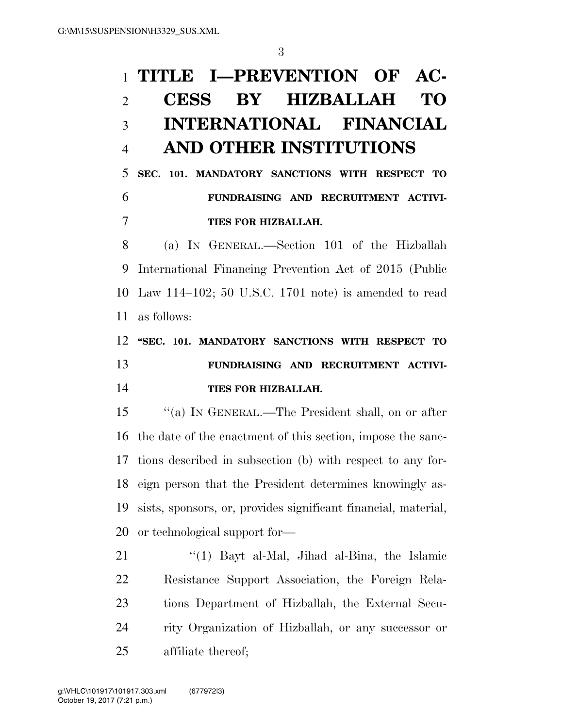# **TITLE I—PREVENTION OF AC- CESS BY HIZBALLAH TO INTERNATIONAL FINANCIAL AND OTHER INSTITUTIONS**

## **SEC. 101. MANDATORY SANCTIONS WITH RESPECT TO FUNDRAISING AND RECRUITMENT ACTIVI-TIES FOR HIZBALLAH.**

 (a) IN GENERAL.—Section 101 of the Hizballah International Financing Prevention Act of 2015 (Public Law 114–102; 50 U.S.C. 1701 note) is amended to read as follows:

## **''SEC. 101. MANDATORY SANCTIONS WITH RESPECT TO FUNDRAISING AND RECRUITMENT ACTIVI-TIES FOR HIZBALLAH.**

 ''(a) IN GENERAL.—The President shall, on or after the date of the enactment of this section, impose the sanc- tions described in subsection (b) with respect to any for- eign person that the President determines knowingly as- sists, sponsors, or, provides significant financial, material, or technological support for—

21 ''(1) Bayt al-Mal, Jihad al-Bina, the Islamic Resistance Support Association, the Foreign Rela- tions Department of Hizballah, the External Secu- rity Organization of Hizballah, or any successor or affiliate thereof;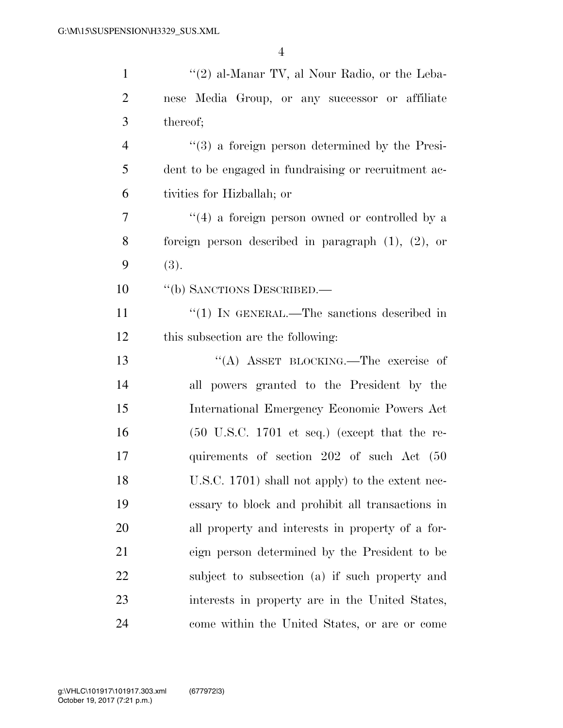| $\mathbf{1}$   | " $(2)$ al-Manar TV, al Nour Radio, or the Leba-                 |
|----------------|------------------------------------------------------------------|
| $\overline{2}$ | nese Media Group, or any successor or affiliate                  |
| 3              | thereof;                                                         |
| $\overline{4}$ | $\cdot\cdot\cdot(3)$ a foreign person determined by the Presi-   |
| 5              | dent to be engaged in fundraising or recruitment ac-             |
| 6              | tivities for Hizballah; or                                       |
| 7              | $(4)$ a foreign person owned or controlled by a                  |
| 8              | foreign person described in paragraph $(1)$ , $(2)$ , or         |
| 9              | (3).                                                             |
| 10             | "(b) SANCTIONS DESCRIBED.—                                       |
| 11             | "(1) IN GENERAL.—The sanctions described in                      |
| 12             | this subsection are the following:                               |
| 13             | "(A) ASSET BLOCKING.—The exercise of                             |
| 14             | all powers granted to the President by the                       |
| 15             | International Emergency Economic Powers Act                      |
| 16             | $(50 \text{ U.S.C. } 1701 \text{ et seq.})$ (except that the re- |
| 17             | quirements of section 202 of such Act (50                        |
| 18             | U.S.C. 1701) shall not apply) to the extent nec-                 |
| 19             | essary to block and prohibit all transactions in                 |
| 20             | all property and interests in property of a for-                 |
| 21             | eign person determined by the President to be                    |
| 22             | subject to subsection (a) if such property and                   |
| 23             | interests in property are in the United States,                  |
| 24             | come within the United States, or are or come                    |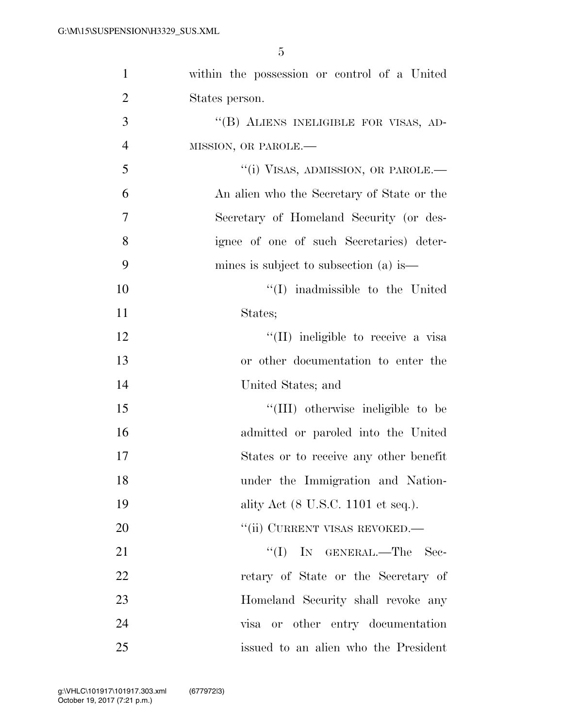| $\mathbf{1}$   | within the possession or control of a United |
|----------------|----------------------------------------------|
| $\overline{2}$ | States person.                               |
| 3              | "(B) ALIENS INELIGIBLE FOR VISAS, AD-        |
| $\overline{4}$ | MISSION, OR PAROLE.-                         |
| 5              | "(i) VISAS, ADMISSION, OR PAROLE.-           |
| 6              | An alien who the Secretary of State or the   |
| 7              | Secretary of Homeland Security (or des-      |
| 8              | ignee of one of such Secretaries) deter-     |
| 9              | mines is subject to subsection (a) is—       |
| 10             | $\lq\lq$ in admissible to the United         |
| 11             | States;                                      |
| 12             | "(II) ineligible to receive a visa           |
| 13             | or other documentation to enter the          |
| 14             | United States; and                           |
| 15             | "(III) otherwise ineligible to be            |
| 16             | admitted or paroled into the United          |
| 17             | States or to receive any other benefit       |
| 18             | under the Immigration and Nation-            |
| 19             | ality Act (8 U.S.C. 1101 et seq.).           |
| 20             | "(ii) CURRENT VISAS REVOKED.-                |
| 21             | "(I) IN GENERAL.—The Sec-                    |
| 22             | retary of State or the Secretary of          |
| 23             | Homeland Security shall revoke any           |
| 24             | visa or other entry documentation            |
| 25             | issued to an alien who the President         |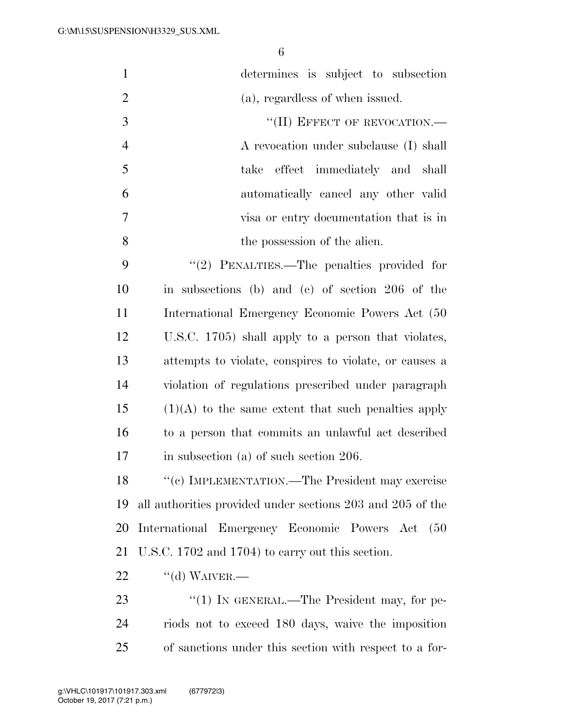| $\mathbf{1}$   | determines is subject to subsection                        |
|----------------|------------------------------------------------------------|
| $\overline{2}$ | (a), regardless of when issued.                            |
| 3              | "(II) EFFECT OF REVOCATION.-                               |
| $\overline{4}$ | A revocation under subclause (I) shall                     |
| 5              | take effect immediately and shall                          |
| 6              | automatically cancel any other valid                       |
| 7              | visa or entry documentation that is in                     |
| 8              | the possession of the alien.                               |
| 9              | "(2) PENALTIES.—The penalties provided for                 |
| 10             | in subsections (b) and (c) of section 206 of the           |
| 11             | International Emergency Economic Powers Act (50            |
| 12             | U.S.C. 1705) shall apply to a person that violates,        |
| 13             | attempts to violate, conspires to violate, or causes a     |
| 14             | violation of regulations prescribed under paragraph        |
| 15             | $(1)(A)$ to the same extent that such penalties apply      |
| 16             | to a person that commits an unlawful act described         |
| 17             | in subsection (a) of such section $206$ .                  |
| 18             | "(c) IMPLEMENTATION.—The President may exercise            |
| 19             | all authorities provided under sections 203 and 205 of the |
| 20             | International Emergency Economic Powers Act<br>(50)        |
| 21             | U.S.C. 1702 and 1704) to carry out this section.           |
| 22             | $``$ (d) WAIVER.—                                          |
| 23             | "(1) IN GENERAL.—The President may, for pe-                |
| 24             | riods not to exceed 180 days, waive the imposition         |
| 25             | of sanctions under this section with respect to a for-     |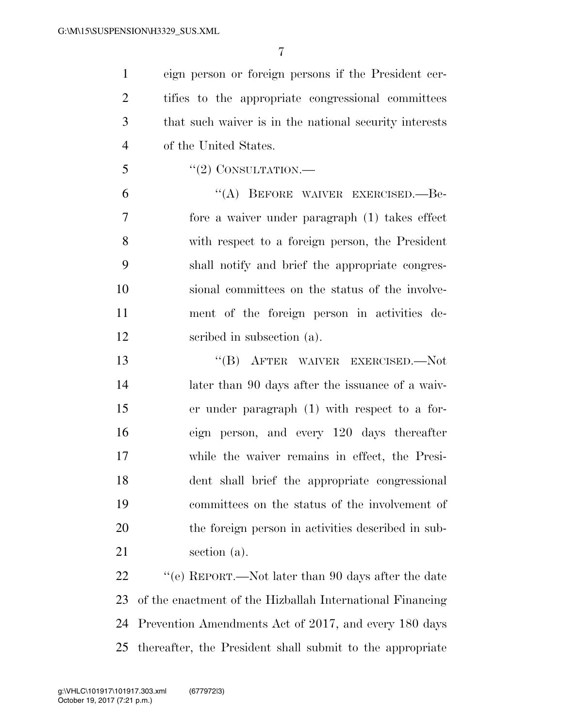eign person or foreign persons if the President cer- tifies to the appropriate congressional committees that such waiver is in the national security interests of the United States.

"(2) CONSULTATION.—

6 "(A) BEFORE WAIVER EXERCISED.—Be- fore a waiver under paragraph (1) takes effect with respect to a foreign person, the President shall notify and brief the appropriate congres- sional committees on the status of the involve- ment of the foreign person in activities de-scribed in subsection (a).

 ''(B) AFTER WAIVER EXERCISED.—Not later than 90 days after the issuance of a waiv- er under paragraph (1) with respect to a for- eign person, and every 120 days thereafter while the waiver remains in effect, the Presi- dent shall brief the appropriate congressional committees on the status of the involvement of the foreign person in activities described in sub-section (a).

22 ''(e) REPORT.—Not later than 90 days after the date of the enactment of the Hizballah International Financing Prevention Amendments Act of 2017, and every 180 days thereafter, the President shall submit to the appropriate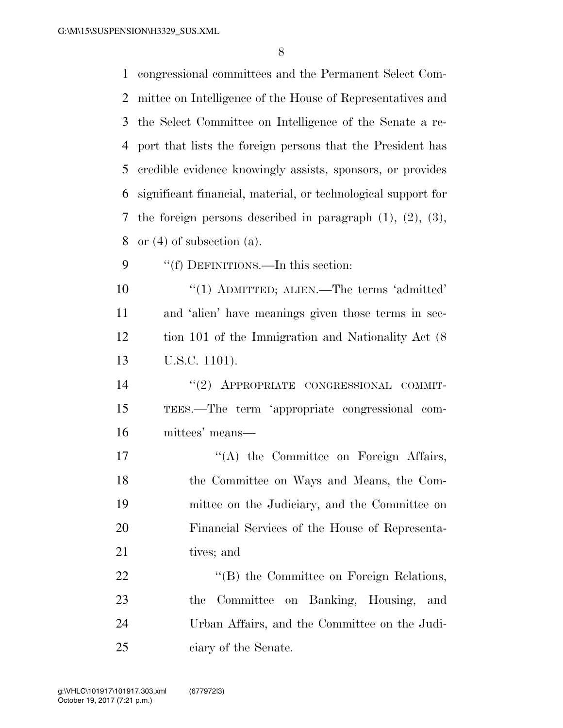congressional committees and the Permanent Select Com- mittee on Intelligence of the House of Representatives and the Select Committee on Intelligence of the Senate a re- port that lists the foreign persons that the President has credible evidence knowingly assists, sponsors, or provides significant financial, material, or technological support for the foreign persons described in paragraph (1), (2), (3), or (4) of subsection (a). 9 ""(f) DEFINITIONS.—In this section: 10 "(1) ADMITTED; ALIEN.—The terms 'admitted' and 'alien' have meanings given those terms in sec- tion 101 of the Immigration and Nationality Act (8 U.S.C. 1101). ''(2) APPROPRIATE CONGRESSIONAL COMMIT- TEES.—The term 'appropriate congressional com-mittees' means—

17 "(A) the Committee on Foreign Affairs, the Committee on Ways and Means, the Com- mittee on the Judiciary, and the Committee on Financial Services of the House of Representa-21 tives; and

22 "'(B) the Committee on Foreign Relations, the Committee on Banking, Housing, and Urban Affairs, and the Committee on the Judi-ciary of the Senate.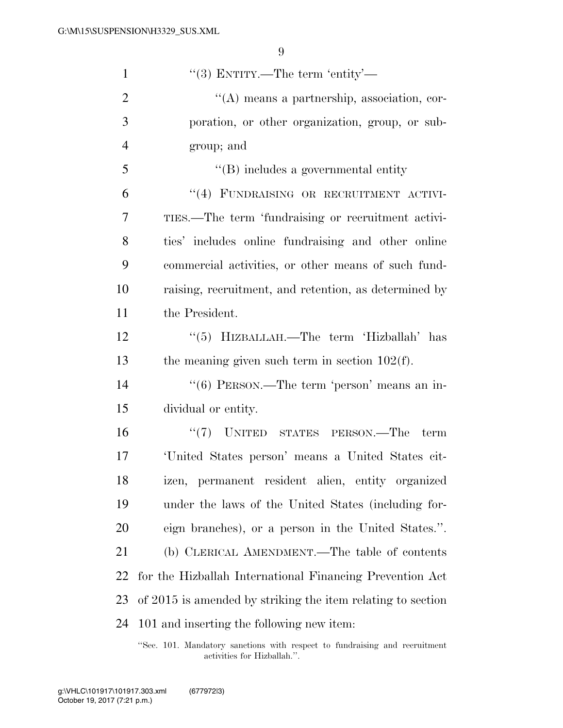| $\mathbf{1}$   | "(3) ENTITY.—The term 'entity'—                             |
|----------------|-------------------------------------------------------------|
| $\mathfrak{2}$ | "(A) means a partnership, association, cor-                 |
| 3              | poration, or other organization, group, or sub-             |
| $\overline{4}$ | group; and                                                  |
| 5              | $\lq\lq$ includes a governmental entity                     |
| 6              | "(4) FUNDRAISING OR RECRUITMENT ACTIVI-                     |
| 7              | TIES.—The term 'fundraising or recruitment activi-          |
| 8              | ties' includes online fundraising and other online          |
| 9              | commercial activities, or other means of such fund-         |
| 10             | raising, recruitment, and retention, as determined by       |
| 11             | the President.                                              |
| 12             | "(5) HIZBALLAH.—The term 'Hizballah' has                    |
| 13             | the meaning given such term in section $102(f)$ .           |
| 14             | "(6) PERSON.—The term 'person' means an in-                 |
| 15             | dividual or entity.                                         |
| 16             | $``(7)$ UNITED STATES PERSON.—The<br>term                   |
| 17             | 'United States person' means a United States cit-           |
| 18             | izen, permanent resident alien, entity organized            |
| 19             | under the laws of the United States (including for-         |
| 20             | eign branches), or a person in the United States.".         |
| 21             | (b) CLERICAL AMENDMENT.—The table of contents               |
| 22             | for the Hizballah International Financing Prevention Act    |
| 23             | of 2015 is amended by striking the item relating to section |
| 24             | 101 and inserting the following new item:                   |
|                |                                                             |

''Sec. 101. Mandatory sanctions with respect to fundraising and recruitment activities for Hizballah.''.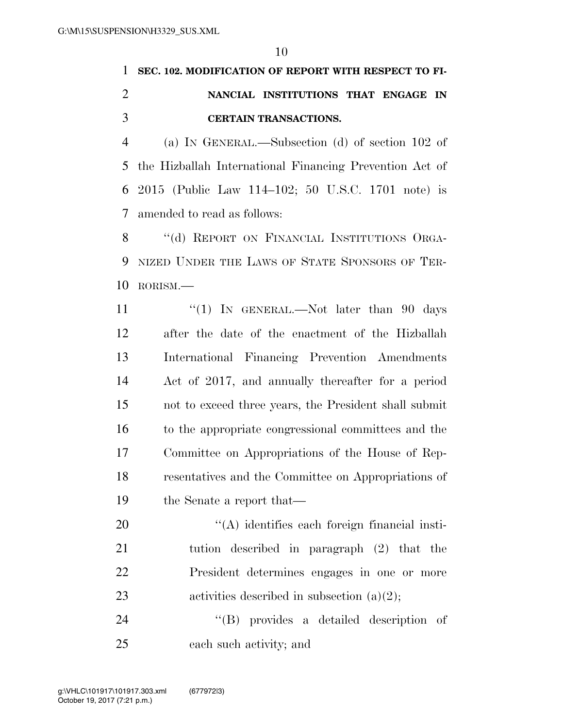## **SEC. 102. MODIFICATION OF REPORT WITH RESPECT TO FI- NANCIAL INSTITUTIONS THAT ENGAGE IN CERTAIN TRANSACTIONS.**

 (a) IN GENERAL.—Subsection (d) of section 102 of the Hizballah International Financing Prevention Act of 2015 (Public Law 114–102; 50 U.S.C. 1701 note) is amended to read as follows:

8 "(d) REPORT ON FINANCIAL INSTITUTIONS ORGA- NIZED UNDER THE LAWS OF STATE SPONSORS OF TER-RORISM.—

11 "(1) In GENERAL.—Not later than 90 days after the date of the enactment of the Hizballah International Financing Prevention Amendments Act of 2017, and annually thereafter for a period not to exceed three years, the President shall submit to the appropriate congressional committees and the Committee on Appropriations of the House of Rep- resentatives and the Committee on Appropriations of the Senate a report that—

 $\langle (A)$  identifies each foreign financial insti- tution described in paragraph (2) that the President determines engages in one or more 23 activities described in subsection  $(a)(2)$ ;

24  $\langle$  (B) provides a detailed description of each such activity; and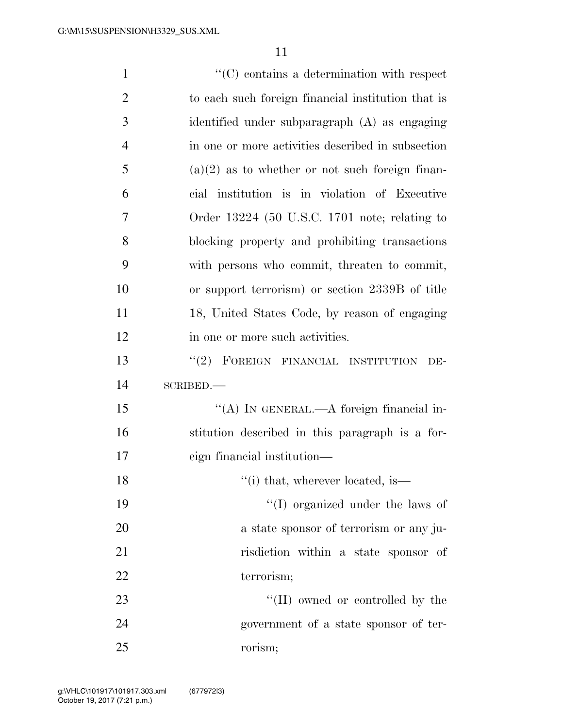| $\mathbf{1}$   | $\lq\lq$ contains a determination with respect     |
|----------------|----------------------------------------------------|
| $\overline{2}$ | to each such foreign financial institution that is |
| 3              | identified under subparagraph (A) as engaging      |
| $\overline{4}$ | in one or more activities described in subsection  |
| 5              | $(a)(2)$ as to whether or not such foreign finan-  |
| 6              | cial institution is in violation of Executive      |
| 7              | Order $13224$ (50 U.S.C. 1701 note; relating to    |
| 8              | blocking property and prohibiting transactions     |
| 9              | with persons who commit, threaten to commit,       |
| 10             | or support terrorism) or section 2339B of title    |
| 11             | 18, United States Code, by reason of engaging      |
| 12             | in one or more such activities.                    |
| 13             | "(2) FOREIGN FINANCIAL INSTITUTION<br>DE-          |
| 14             | SCRIBED.                                           |
| 15             | "(A) IN GENERAL.—A foreign financial in-           |
| 16             | stitution described in this paragraph is a for-    |
| 17             | eign financial institution—                        |
| 18             | $"$ (i) that, wherever located, is—                |
| 19             | "(I) organized under the laws of                   |
| 20             | a state sponsor of terrorism or any ju-            |
| 21             | risdiction within a state sponsor of               |
| 22             | terrorism;                                         |
| 23             | "(II) owned or controlled by the                   |
| 24             | government of a state sponsor of ter-              |
| 25             | rorism;                                            |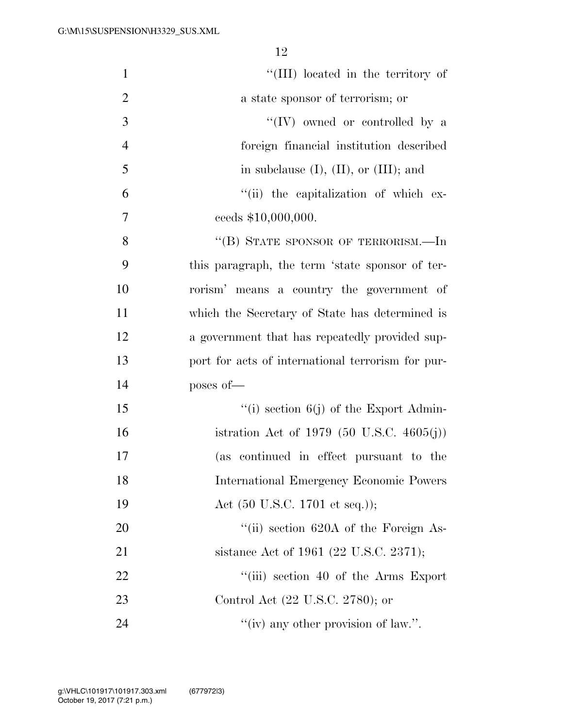| $\mathbf{1}$   | "(III) located in the territory of                |
|----------------|---------------------------------------------------|
| $\overline{2}$ | a state sponsor of terrorism; or                  |
| 3              | $\lq\lq (IV)$ owned or controlled by a            |
| $\overline{4}$ | foreign financial institution described           |
| 5              | in subclause $(I)$ , $(II)$ , or $(III)$ ; and    |
| 6              | "(ii) the capitalization of which ex-             |
| 7              | ceeds \$10,000,000.                               |
| 8              | "(B) STATE SPONSOR OF TERRORISM.—In               |
| 9              | this paragraph, the term 'state sponsor of ter-   |
| 10             | rorism' means a country the government of         |
| 11             | which the Secretary of State has determined is    |
| 12             | a government that has repeatedly provided sup-    |
| 13             | port for acts of international terrorism for pur- |
| 14             | poses of-                                         |
| 15             | "(i) section $6(j)$ of the Export Admin-          |
| 16             | istration Act of 1979 (50 U.S.C. 4605(j))         |
| 17             | (as continued in effect pursuant to the           |
| 18             | International Emergency Economic Powers           |
| 19             | Act $(50 \text{ U.S.C. } 1701 \text{ et seq.}));$ |
| 20             | "(ii) section 620A of the Foreign As-             |
| 21             | sistance Act of 1961 (22 U.S.C. 2371);            |
| 22             | "(iii) section 40 of the Arms Export              |
| 23             | Control Act (22 U.S.C. 2780); or                  |
| 24             | "(iv) any other provision of law.".               |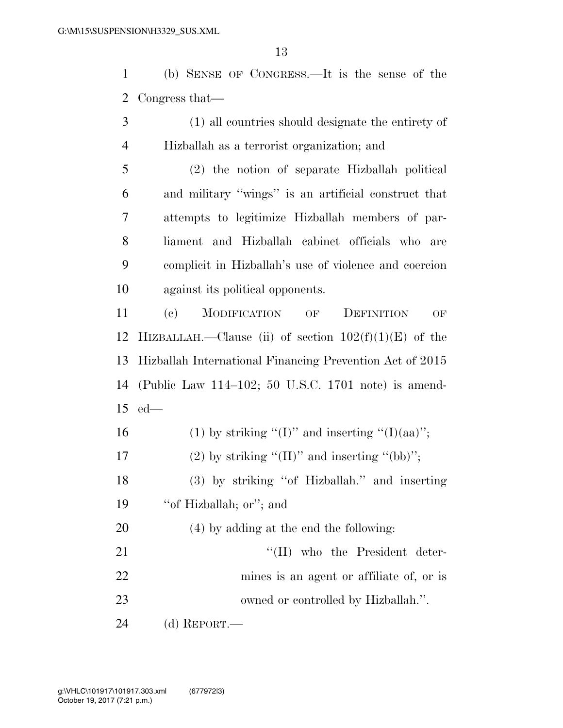(b) SENSE OF CONGRESS.—It is the sense of the Congress that—

- (1) all countries should designate the entirety of Hizballah as a terrorist organization; and
- (2) the notion of separate Hizballah political and military ''wings'' is an artificial construct that attempts to legitimize Hizballah members of par- liament and Hizballah cabinet officials who are complicit in Hizballah's use of violence and coercion against its political opponents.
- (c) MODIFICATION OF DEFINITION OF 12 HIZBALLAH.—Clause (ii) of section  $102(f)(1)(E)$  of the Hizballah International Financing Prevention Act of 2015 (Public Law 114–102; 50 U.S.C. 1701 note) is amend-ed—
- 16 (1) by striking "(I)" and inserting "(I)(aa)"; 17 (2) by striking " $(II)$ " and inserting " $(bb)$ "; (3) by striking ''of Hizballah.'' and inserting 19 "of Hizballah; or"; and (4) by adding at the end the following: 21 ''(II) who the President deter- mines is an agent or affiliate of, or is 23 owned or controlled by Hizballah.". (d) REPORT.—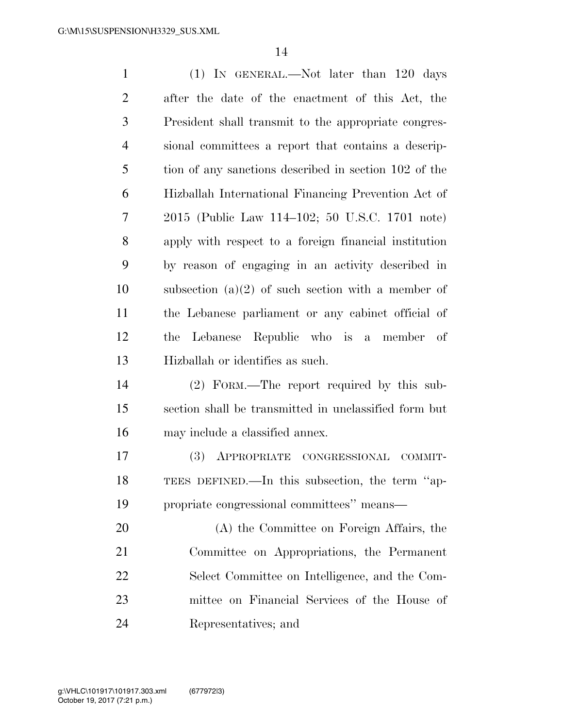| $\mathbf{1}$   | $(1)$ In GENERAL.—Not later than 120 days             |
|----------------|-------------------------------------------------------|
| $\overline{2}$ | after the date of the enactment of this Act, the      |
| 3              | President shall transmit to the appropriate congres-  |
| $\overline{4}$ | sional committees a report that contains a descrip-   |
| 5              | tion of any sanctions described in section 102 of the |
| 6              | Hizballah International Financing Prevention Act of   |
| 7              | 2015 (Public Law 114–102; 50 U.S.C. 1701 note)        |
| 8              | apply with respect to a foreign financial institution |
| 9              | by reason of engaging in an activity described in     |
| 10             | subsection $(a)(2)$ of such section with a member of  |
| 11             | the Lebanese parliament or any cabinet official of    |
| 12             | Lebanese Republic who is a member of<br>the           |
| 13             | Hizballah or identifies as such.                      |
| 14             | (2) FORM.—The report required by this sub-            |
| 15             | section shall be transmitted in unclassified form but |
| 16             | may include a classified annex.                       |
| 17             | (3)<br>APPROPRIATE CONGRESSIONAL<br>COMMIT-           |
| 18             | TEES DEFINED.—In this subsection, the term "ap-       |
| 19             | propriate congressional committees" means—            |
| 20             | (A) the Committee on Foreign Affairs, the             |
| 21             | Committee on Appropriations, the Permanent            |
| 22             | Select Committee on Intelligence, and the Com-        |
| 23             | mittee on Financial Services of the House of          |
| 24             | Representatives; and                                  |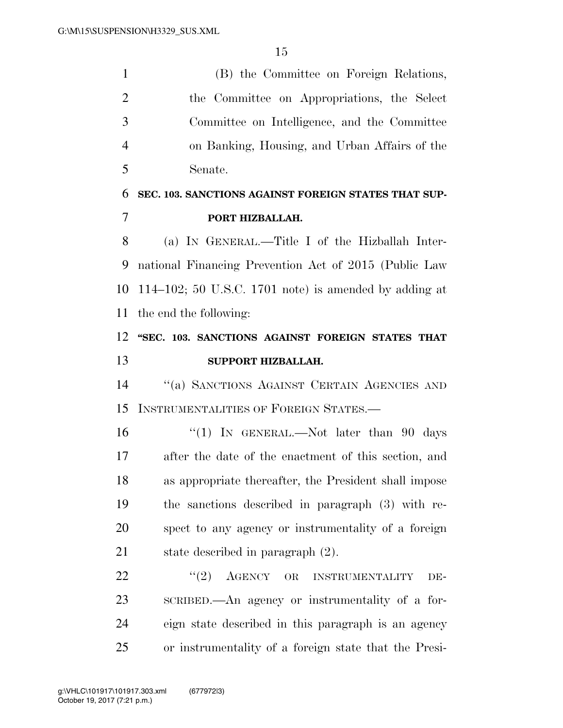(B) the Committee on Foreign Relations, the Committee on Appropriations, the Select Committee on Intelligence, and the Committee on Banking, Housing, and Urban Affairs of the Senate.

### **SEC. 103. SANCTIONS AGAINST FOREIGN STATES THAT SUP-PORT HIZBALLAH.**

 (a) IN GENERAL.—Title I of the Hizballah Inter- national Financing Prevention Act of 2015 (Public Law 114–102; 50 U.S.C. 1701 note) is amended by adding at the end the following:

### **''SEC. 103. SANCTIONS AGAINST FOREIGN STATES THAT SUPPORT HIZBALLAH.**

 ''(a) SANCTIONS AGAINST CERTAIN AGENCIES AND INSTRUMENTALITIES OF FOREIGN STATES.—

16 ''(1) In GENERAL.—Not later than 90 days after the date of the enactment of this section, and as appropriate thereafter, the President shall impose the sanctions described in paragraph (3) with re- spect to any agency or instrumentality of a foreign state described in paragraph (2).

22 "(2) AGENCY OR INSTRUMENTALITY DE- SCRIBED.—An agency or instrumentality of a for- eign state described in this paragraph is an agency or instrumentality of a foreign state that the Presi-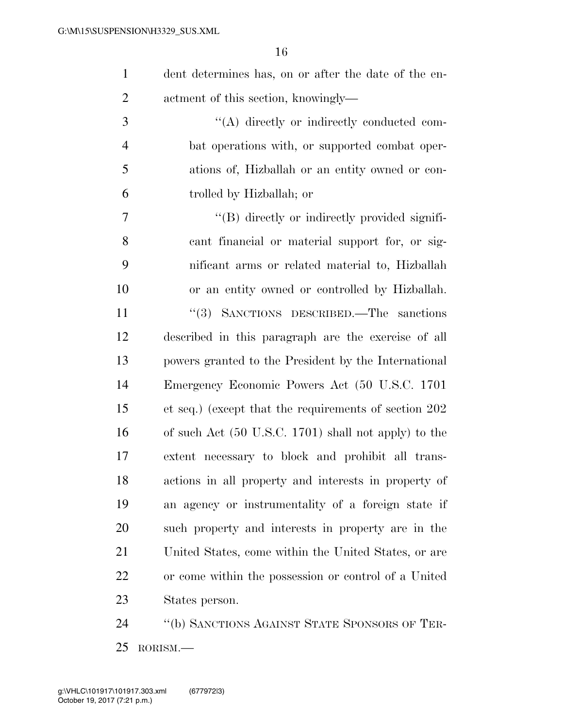| dent determines has, on or after the date of the en- |
|------------------------------------------------------|
| actment of this section, knowingly—                  |

 $\langle (A)$  directly or indirectly conducted com- bat operations with, or supported combat oper- ations of, Hizballah or an entity owned or con-trolled by Hizballah; or

 $''(B)$  directly or indirectly provided signifi- cant financial or material support for, or sig- nificant arms or related material to, Hizballah or an entity owned or controlled by Hizballah. 11 ''(3) SANCTIONS DESCRIBED.—The sanctions described in this paragraph are the exercise of all powers granted to the President by the International Emergency Economic Powers Act (50 U.S.C. 1701 et seq.) (except that the requirements of section 202 of such Act (50 U.S.C. 1701) shall not apply) to the extent necessary to block and prohibit all trans- actions in all property and interests in property of an agency or instrumentality of a foreign state if such property and interests in property are in the United States, come within the United States, or are or come within the possession or control of a United States person.

 ''(b) SANCTIONS AGAINST STATE SPONSORS OF TER-RORISM.—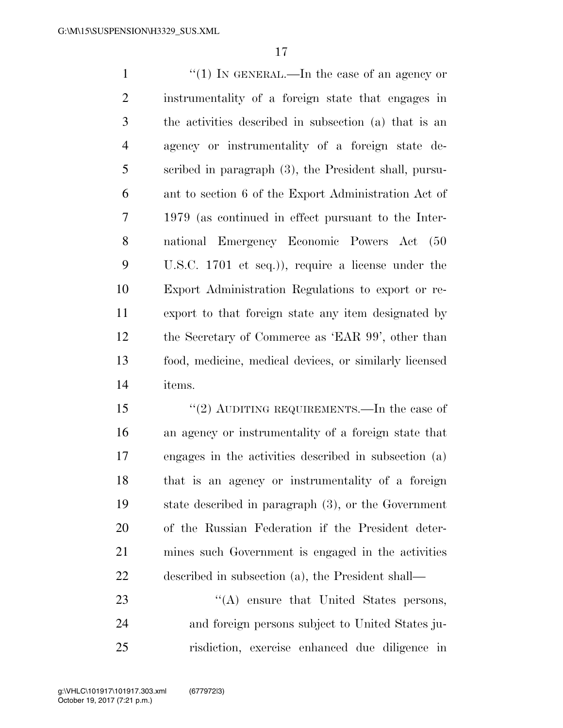1 ''(1) In GENERAL.—In the case of an agency or instrumentality of a foreign state that engages in the activities described in subsection (a) that is an agency or instrumentality of a foreign state de- scribed in paragraph (3), the President shall, pursu- ant to section 6 of the Export Administration Act of 1979 (as continued in effect pursuant to the Inter- national Emergency Economic Powers Act (50 U.S.C. 1701 et seq.)), require a license under the Export Administration Regulations to export or re- export to that foreign state any item designated by the Secretary of Commerce as 'EAR 99', other than food, medicine, medical devices, or similarly licensed items.

15 "(2) AUDITING REQUIREMENTS.—In the case of an agency or instrumentality of a foreign state that engages in the activities described in subsection (a) that is an agency or instrumentality of a foreign state described in paragraph (3), or the Government of the Russian Federation if the President deter- mines such Government is engaged in the activities described in subsection (a), the President shall—

23 "(A) ensure that United States persons, and foreign persons subject to United States ju-risdiction, exercise enhanced due diligence in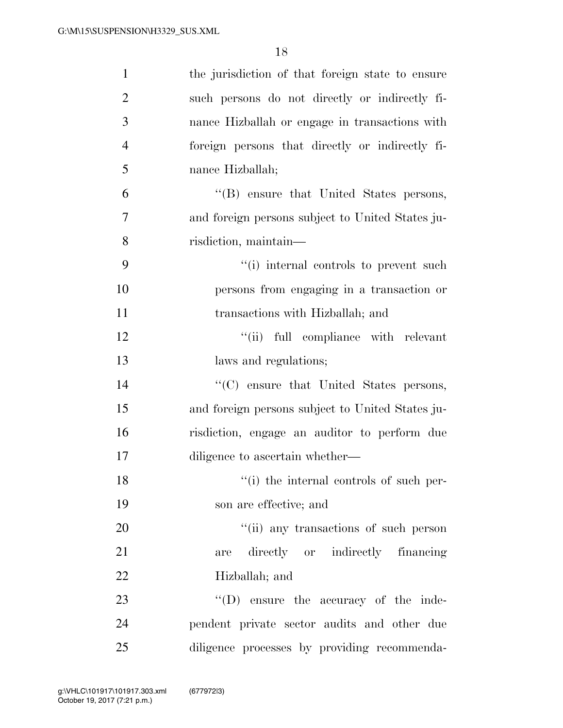| $\mathbf{1}$   | the jurisdiction of that foreign state to ensure |
|----------------|--------------------------------------------------|
| $\overline{2}$ | such persons do not directly or indirectly fi-   |
| 3              | nance Hizballah or engage in transactions with   |
| $\overline{4}$ | foreign persons that directly or indirectly fi-  |
| 5              | nance Hizballah;                                 |
| 6              | "(B) ensure that United States persons,          |
| 7              | and foreign persons subject to United States ju- |
| 8              | risdiction, maintain-                            |
| 9              | "(i) internal controls to prevent such           |
| 10             | persons from engaging in a transaction or        |
| 11             | transactions with Hizballah; and                 |
| 12             | "(ii) full compliance with relevant              |
| 13             | laws and regulations;                            |
| 14             | "(C) ensure that United States persons,          |
| 15             | and foreign persons subject to United States ju- |
| 16             | risdiction, engage an auditor to perform due     |
| 17             | diligence to ascertain whether—                  |
| 18             | "(i) the internal controls of such per-          |
| 19             | son are effective; and                           |
| 20             | "(ii) any transactions of such person            |
| 21             | directly or indirectly financing<br>are          |
| 22             | Hizballah; and                                   |
| 23             | $\lq\lq$ (D) ensure the accuracy of the inde-    |
| 24             | pendent private sector audits and other due      |
| 25             | diligence processes by providing recommenda-     |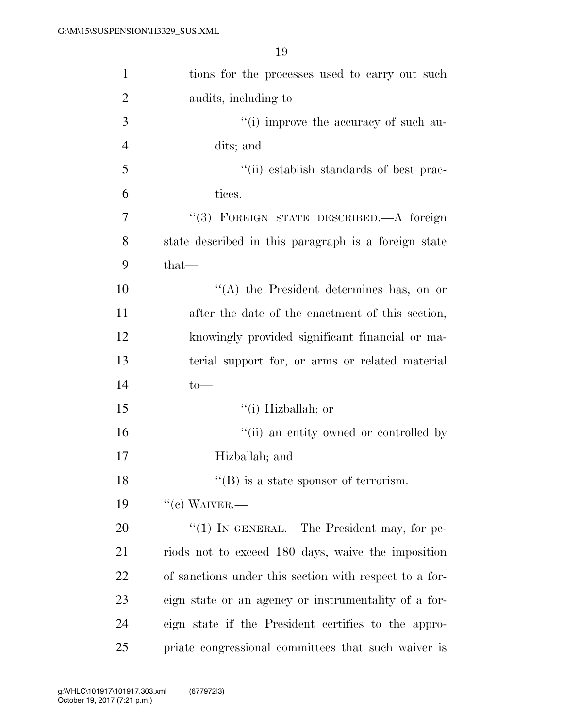| $\mathbf{1}$   | tions for the processes used to carry out such         |
|----------------|--------------------------------------------------------|
| $\overline{2}$ | audits, including to-                                  |
| 3              | "(i) improve the accuracy of such au-                  |
| $\overline{4}$ | dits; and                                              |
| 5              | "(ii) establish standards of best prac-                |
| 6              | tices.                                                 |
| 7              | "(3) FOREIGN STATE DESCRIBED.—A foreign                |
| 8              | state described in this paragraph is a foreign state   |
| 9              | $that-$                                                |
| 10             | $\lq\lq$ the President determines has, on or           |
| 11             | after the date of the enactment of this section,       |
| 12             | knowingly provided significant financial or ma-        |
| 13             | terial support for, or arms or related material        |
| 14             | $to-$                                                  |
| 15             | $``(i)$ Hizballah; or                                  |
| 16             | "(ii) an entity owned or controlled by                 |
| 17             | Hizballah; and                                         |
| 18             | $\lq\lq$ (B) is a state sponsor of terrorism.          |
| 19             | $``$ (c) WAIVER.—                                      |
| 20             | "(1) IN GENERAL.—The President may, for pe-            |
| 21             | riods not to exceed 180 days, waive the imposition     |
| 22             | of sanctions under this section with respect to a for- |
| 23             | eign state or an agency or instrumentality of a for-   |
| 24             | eign state if the President certifies to the appro-    |
| 25             | priate congressional committees that such waiver is    |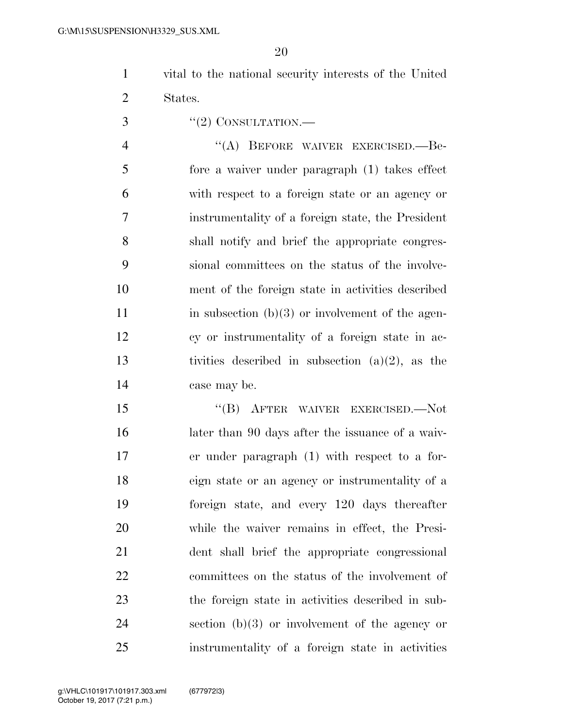- vital to the national security interests of the United States.
- 3 "(2) CONSULTATION.—

4 "(A) BEFORE WAIVER EXERCISED.—Be- fore a waiver under paragraph (1) takes effect with respect to a foreign state or an agency or instrumentality of a foreign state, the President shall notify and brief the appropriate congres- sional committees on the status of the involve- ment of the foreign state in activities described 11 in subsection  $(b)(3)$  or involvement of the agen- cy or instrumentality of a foreign state in ac- tivities described in subsection (a)(2), as the case may be.

15 "(B) AFTER WAIVER EXERCISED.—Not later than 90 days after the issuance of a waiv- er under paragraph (1) with respect to a for- eign state or an agency or instrumentality of a foreign state, and every 120 days thereafter while the waiver remains in effect, the Presi- dent shall brief the appropriate congressional committees on the status of the involvement of the foreign state in activities described in sub-24 section  $(b)(3)$  or involvement of the agency or instrumentality of a foreign state in activities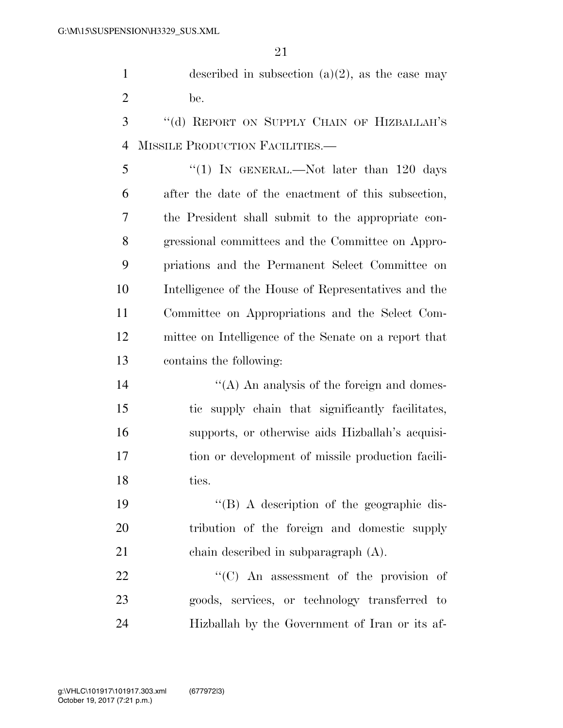1 described in subsection  $(a)(2)$ , as the case may be.

 ''(d) REPORT ON SUPPLY CHAIN OF HIZBALLAH'S MISSILE PRODUCTION FACILITIES.—

5 "(1) In GENERAL.—Not later than 120 days after the date of the enactment of this subsection, the President shall submit to the appropriate con- gressional committees and the Committee on Appro- priations and the Permanent Select Committee on Intelligence of the House of Representatives and the Committee on Appropriations and the Select Com- mittee on Intelligence of the Senate on a report that contains the following:

14 ''(A) An analysis of the foreign and domes- tic supply chain that significantly facilitates, supports, or otherwise aids Hizballah's acquisi- tion or development of missile production facili-18 ties.

 ''(B) A description of the geographic dis- tribution of the foreign and domestic supply chain described in subparagraph (A).

22 "'(C) An assessment of the provision of goods, services, or technology transferred to Hizballah by the Government of Iran or its af-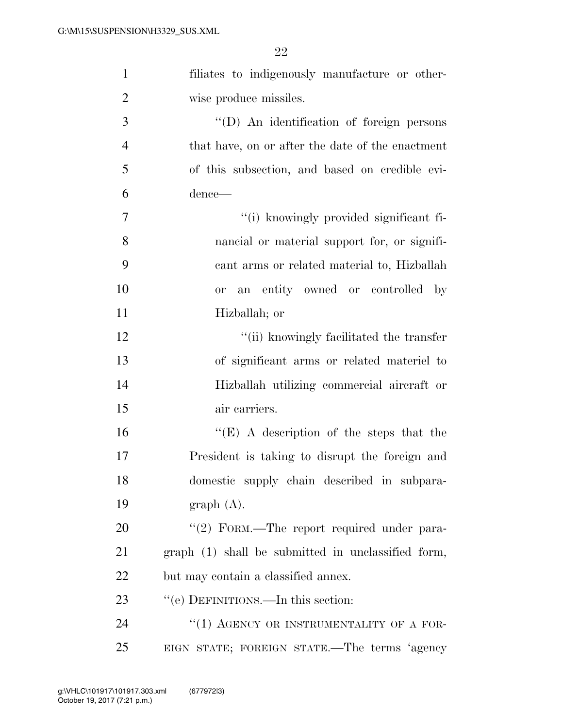| $\mathbf{1}$   | filiates to indigenously manufacture or other-     |
|----------------|----------------------------------------------------|
| $\overline{2}$ | wise produce missiles.                             |
| 3              | "(D) An identification of foreign persons          |
| $\overline{4}$ | that have, on or after the date of the enactment   |
| 5              | of this subsection, and based on credible evi-     |
| 6              | dence—                                             |
| 7              | "(i) knowingly provided significant fi-            |
| 8              | nancial or material support for, or signifi-       |
| 9              | cant arms or related material to, Hizballah        |
| 10             | or an entity owned or controlled by                |
| 11             | Hizballah; or                                      |
| 12             | "(ii) knowingly facilitated the transfer           |
| 13             | of significant arms or related material to         |
| 14             | Hizballah utilizing commercial aircraft or         |
| 15             | air carriers.                                      |
| 16             | "(E) A description of the steps that the           |
| 17             | President is taking to disrupt the foreign and     |
| 18             | domestic supply chain described in subpara-        |
| 19             | graph(A).                                          |
| 20             | "(2) FORM.—The report required under para-         |
| 21             | graph (1) shall be submitted in unclassified form, |
| 22             | but may contain a classified annex.                |
| 23             | "(e) DEFINITIONS.—In this section:                 |
| 24             | "(1) AGENCY OR INSTRUMENTALITY OF A FOR-           |
| 25             | EIGN STATE; FOREIGN STATE.—The terms 'agency       |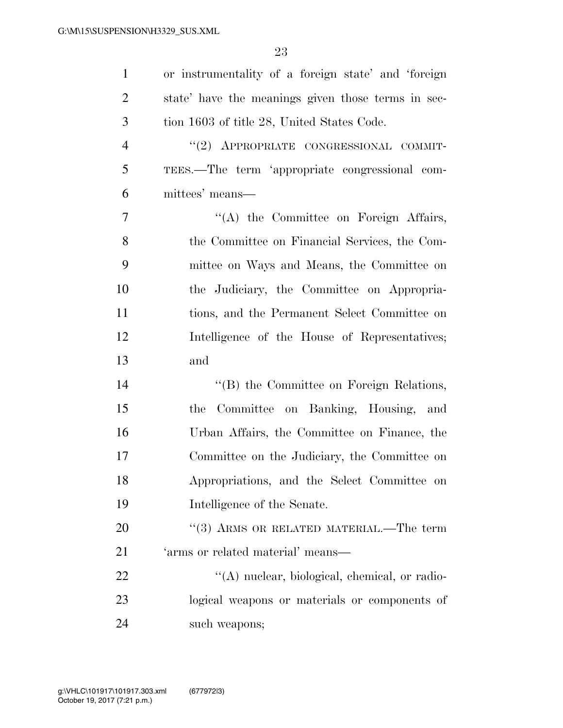| $\mathbf{1}$   | or instrumentality of a foreign state' and 'foreign |
|----------------|-----------------------------------------------------|
| $\overline{2}$ | state' have the meanings given those terms in sec-  |
| 3              | tion 1603 of title 28, United States Code.          |
| $\overline{4}$ | "(2) APPROPRIATE CONGRESSIONAL COMMIT-              |
| 5              | TEES.—The term 'appropriate congressional com-      |
| 6              | mittees' means—                                     |
| $\overline{7}$ | "(A) the Committee on Foreign Affairs,              |
| 8              | the Committee on Financial Services, the Com-       |
| 9              | mittee on Ways and Means, the Committee on          |
| 10             | the Judiciary, the Committee on Appropria-          |
| 11             | tions, and the Permanent Select Committee on        |
| 12             | Intelligence of the House of Representatives;       |
| 13             | and                                                 |
| 14             | "(B) the Committee on Foreign Relations,            |
| 15             | Committee on Banking, Housing, and<br>the           |
| 16             | Urban Affairs, the Committee on Finance, the        |
| 17             | Committee on the Judiciary, the Committee on        |
| 18             | Appropriations, and the Select Committee on         |
| 19             | Intelligence of the Senate.                         |
| 20             | $(3)$ ARMS OR RELATED MATERIAL.—The term            |
| 21             | 'arms or related material' means-                   |
| 22             | "(A) nuclear, biological, chemical, or radio-       |
| 23             | logical weapons or materials or components of       |
| 24             | such weapons;                                       |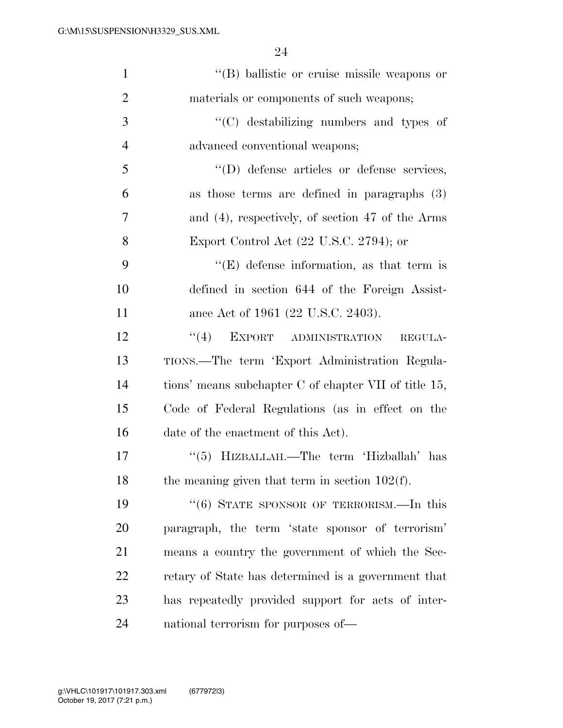| $\mathbf{1}$   | "(B) ballistic or cruise missile weapons or           |
|----------------|-------------------------------------------------------|
| $\overline{2}$ | materials or components of such weapons;              |
| 3              | "(C) destabilizing numbers and types of               |
| $\overline{4}$ | advanced conventional weapons;                        |
| 5              | "(D) defense articles or defense services,            |
| 6              | as those terms are defined in paragraphs $(3)$        |
| $\overline{7}$ | and (4), respectively, of section 47 of the Arms      |
| 8              | Export Control Act $(22 \text{ U.S.C. } 2794)$ ; or   |
| 9              | $\lq\lq$ (E) defense information, as that term is     |
| 10             | defined in section 644 of the Foreign Assist-         |
| 11             | ance Act of 1961 (22 U.S.C. 2403).                    |
| 12             | "(4) EXPORT ADMINISTRATION<br>REGULA-                 |
| 13             | TIONS.—The term 'Export Administration Regula-        |
| 14             | tions' means subchapter C of chapter VII of title 15, |
| 15             | Code of Federal Regulations (as in effect on the      |
| 16             | date of the enactment of this Act).                   |
| 17             | "(5) HIZBALLAH.—The term 'Hizballah' has              |
| 18             | the meaning given that term in section $102(f)$ .     |
| 19             | $(6)$ STATE SPONSOR OF TERRORISM.—In this             |
| 20             | paragraph, the term 'state sponsor of terrorism'      |
| 21             | means a country the government of which the Sec-      |
| 22             | retary of State has determined is a government that   |
| 23             | has repeatedly provided support for acts of inter-    |
| 24             | national terrorism for purposes of—                   |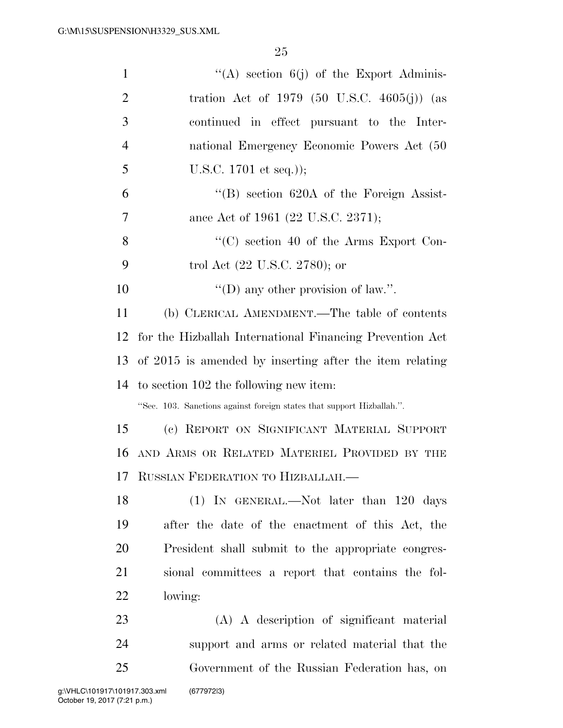| $\mathbf{1}$   | "(A) section $6(j)$ of the Export Adminis-                            |
|----------------|-----------------------------------------------------------------------|
| $\overline{2}$ | tration Act of 1979 (50 U.S.C. 4605(j)) (as                           |
| 3              | continued in effect pursuant to the Inter-                            |
| $\overline{4}$ | national Emergency Economic Powers Act (50                            |
| 5              | U.S.C. $1701$ et seq.));                                              |
| 6              | $\cdot$ (B) section 620A of the Foreign Assist-                       |
| 7              | ance Act of 1961 (22 U.S.C. 2371);                                    |
| 8              | $\lq\lq$ section 40 of the Arms Export Con-                           |
| 9              | trol Act $(22 \text{ U.S.C. } 2780)$ ; or                             |
| 10             | "(D) any other provision of law.".                                    |
| 11             | (b) CLERICAL AMENDMENT.—The table of contents                         |
| 12             | for the Hizballah International Financing Prevention Act              |
| 13             | of 2015 is amended by inserting after the item relating               |
| 14             | to section 102 the following new item:                                |
|                | "Sec. 103. Sanctions against foreign states that support Hizballah.". |
| 15             | (c) REPORT ON SIGNIFICANT MATERIAL SUPPORT                            |
| 16             | AND ARMS OR RELATED MATERIEL PROVIDED BY THE                          |
|                | 17 RUSSIAN FEDERATION TO HIZBALLAH.                                   |
| 18             | $(1)$ IN GENERAL.—Not later than 120 days                             |
| 19             | after the date of the enactment of this Act, the                      |
| 20             | President shall submit to the appropriate congres-                    |
| 21             | sional committees a report that contains the fol-                     |
| 22             | lowing:                                                               |
| 23             | (A) A description of significant material                             |
| 24             | support and arms or related material that the                         |
| 25             | Government of the Russian Federation has, on                          |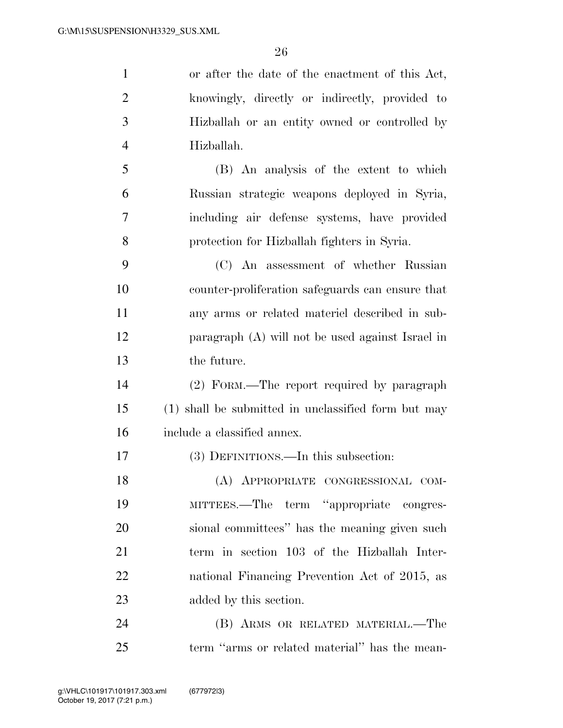or after the date of the enactment of this Act,

| $\overline{2}$ | knowingly, directly or indirectly, provided to      |
|----------------|-----------------------------------------------------|
| 3              | Hizballah or an entity owned or controlled by       |
| $\overline{4}$ | Hizballah.                                          |
| 5              | (B) An analysis of the extent to which              |
| 6              | Russian strategic weapons deployed in Syria,        |
| 7              | including air defense systems, have provided        |
| 8              | protection for Hizballah fighters in Syria.         |
| 9              | (C) An assessment of whether Russian                |
| 10             | counter-proliferation safeguards can ensure that    |
| 11             | any arms or related material described in sub-      |
| 12             | paragraph (A) will not be used against Israel in    |
| 13             | the future.                                         |
| 14             | (2) FORM.—The report required by paragraph          |
| 15             | (1) shall be submitted in unclassified form but may |
| 16             | include a classified annex.                         |
| 17             | (3) DEFINITIONS.—In this subsection:                |
| 18             | (A) APPROPRIATE CONGRESSIONAL COM-                  |
| 19             | MITTEES.—The term "appropriate congres-             |
| 20             | sional committees" has the meaning given such       |
| 21             | term in section 103 of the Hizballah Inter-         |
| 22             | national Financing Prevention Act of 2015, as       |
| 23             | added by this section.                              |
| 24             | (B) ARMS OR RELATED MATERIAL.—The                   |
| 25             | term "arms or related material" has the mean-       |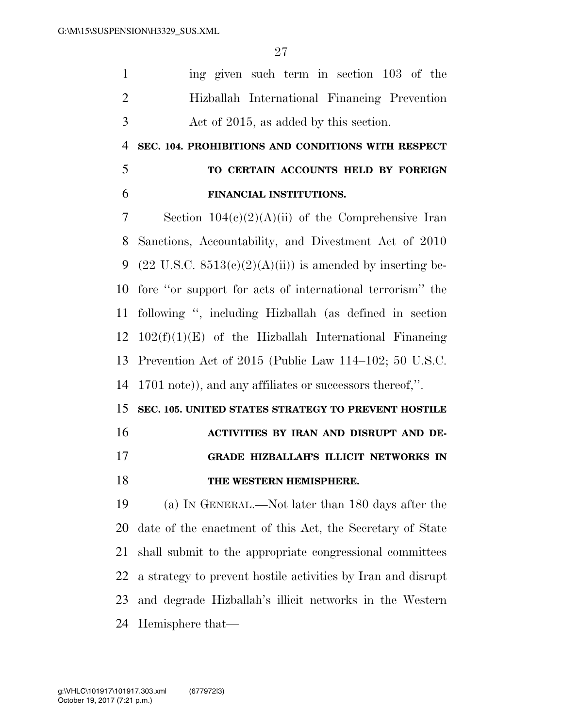ing given such term in section 103 of the Hizballah International Financing Prevention Act of 2015, as added by this section.

 **SEC. 104. PROHIBITIONS AND CONDITIONS WITH RESPECT TO CERTAIN ACCOUNTS HELD BY FOREIGN** 

# **FINANCIAL INSTITUTIONS.**

 Section 104(c)(2)(A)(ii) of the Comprehensive Iran Sanctions, Accountability, and Divestment Act of 2010 9 (22 U.S.C.  $8513(c)(2)(A)(ii)$ ) is amended by inserting be- fore ''or support for acts of international terrorism'' the following '', including Hizballah (as defined in section  $102(f)(1)(E)$  of the Hizballah International Financing Prevention Act of 2015 (Public Law 114–102; 50 U.S.C. 1701 note)), and any affiliates or successors thereof,''.

**SEC. 105. UNITED STATES STRATEGY TO PREVENT HOSTILE** 

**ACTIVITIES BY IRAN AND DISRUPT AND DE-**

### **GRADE HIZBALLAH'S ILLICIT NETWORKS IN**

### **THE WESTERN HEMISPHERE.**

 (a) IN GENERAL.—Not later than 180 days after the date of the enactment of this Act, the Secretary of State shall submit to the appropriate congressional committees a strategy to prevent hostile activities by Iran and disrupt and degrade Hizballah's illicit networks in the Western Hemisphere that—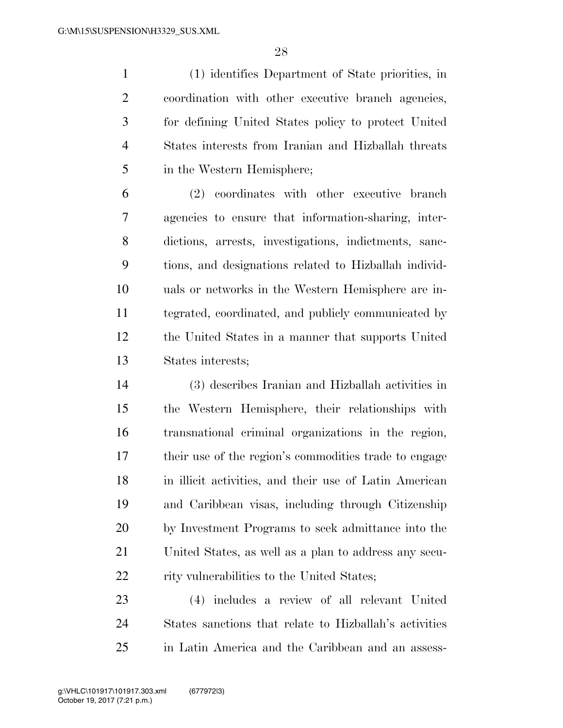(1) identifies Department of State priorities, in coordination with other executive branch agencies, for defining United States policy to protect United States interests from Iranian and Hizballah threats in the Western Hemisphere;

 (2) coordinates with other executive branch agencies to ensure that information-sharing, inter- dictions, arrests, investigations, indictments, sanc- tions, and designations related to Hizballah individ- uals or networks in the Western Hemisphere are in- tegrated, coordinated, and publicly communicated by the United States in a manner that supports United States interests;

 (3) describes Iranian and Hizballah activities in the Western Hemisphere, their relationships with transnational criminal organizations in the region, their use of the region's commodities trade to engage in illicit activities, and their use of Latin American and Caribbean visas, including through Citizenship by Investment Programs to seek admittance into the United States, as well as a plan to address any secu-22 rity vulnerabilities to the United States;

 (4) includes a review of all relevant United States sanctions that relate to Hizballah's activities in Latin America and the Caribbean and an assess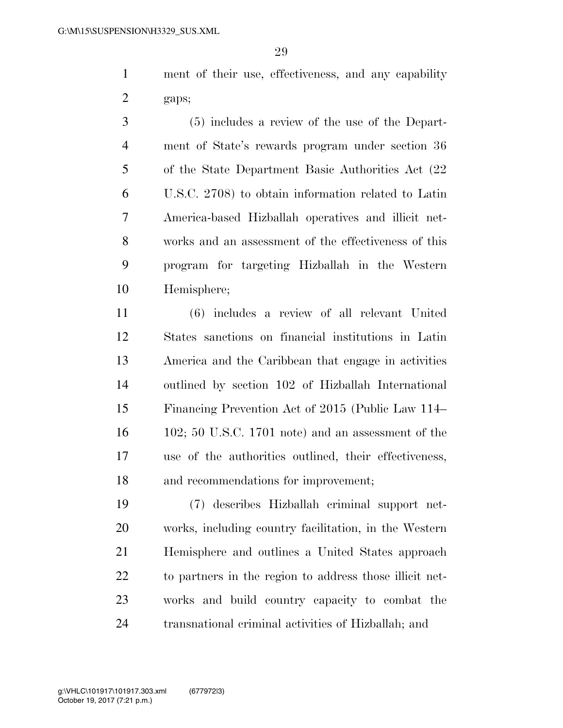ment of their use, effectiveness, and any capability gaps;

 (5) includes a review of the use of the Depart- ment of State's rewards program under section 36 of the State Department Basic Authorities Act (22 U.S.C. 2708) to obtain information related to Latin America-based Hizballah operatives and illicit net- works and an assessment of the effectiveness of this program for targeting Hizballah in the Western Hemisphere;

 (6) includes a review of all relevant United States sanctions on financial institutions in Latin America and the Caribbean that engage in activities outlined by section 102 of Hizballah International Financing Prevention Act of 2015 (Public Law 114– 102; 50 U.S.C. 1701 note) and an assessment of the use of the authorities outlined, their effectiveness, and recommendations for improvement;

 (7) describes Hizballah criminal support net- works, including country facilitation, in the Western Hemisphere and outlines a United States approach to partners in the region to address those illicit net- works and build country capacity to combat the transnational criminal activities of Hizballah; and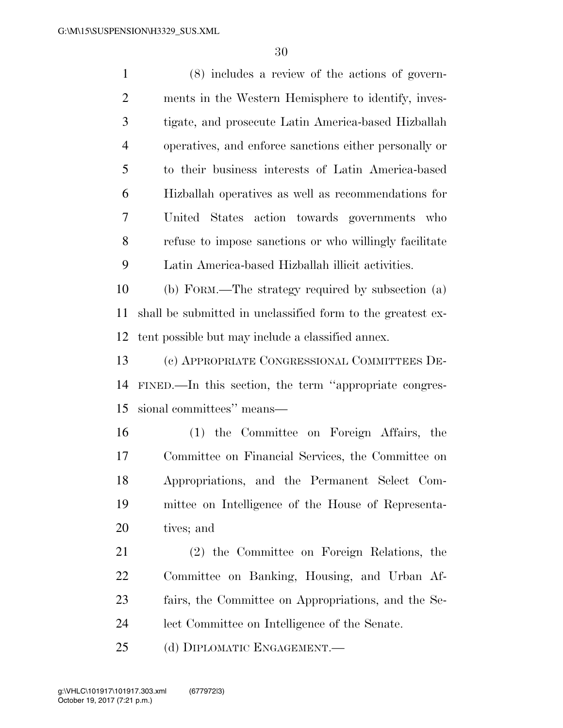(8) includes a review of the actions of govern- ments in the Western Hemisphere to identify, inves- tigate, and prosecute Latin America-based Hizballah operatives, and enforce sanctions either personally or to their business interests of Latin America-based Hizballah operatives as well as recommendations for United States action towards governments who refuse to impose sanctions or who willingly facilitate Latin America-based Hizballah illicit activities. (b) FORM.—The strategy required by subsection (a) shall be submitted in unclassified form to the greatest ex- tent possible but may include a classified annex. (c) APPROPRIATE CONGRESSIONAL COMMITTEES DE- FINED.—In this section, the term ''appropriate congres- sional committees'' means— (1) the Committee on Foreign Affairs, the Committee on Financial Services, the Committee on Appropriations, and the Permanent Select Com- mittee on Intelligence of the House of Representa- tives; and (2) the Committee on Foreign Relations, the Committee on Banking, Housing, and Urban Af- fairs, the Committee on Appropriations, and the Se-lect Committee on Intelligence of the Senate.

(d) DIPLOMATIC ENGAGEMENT.—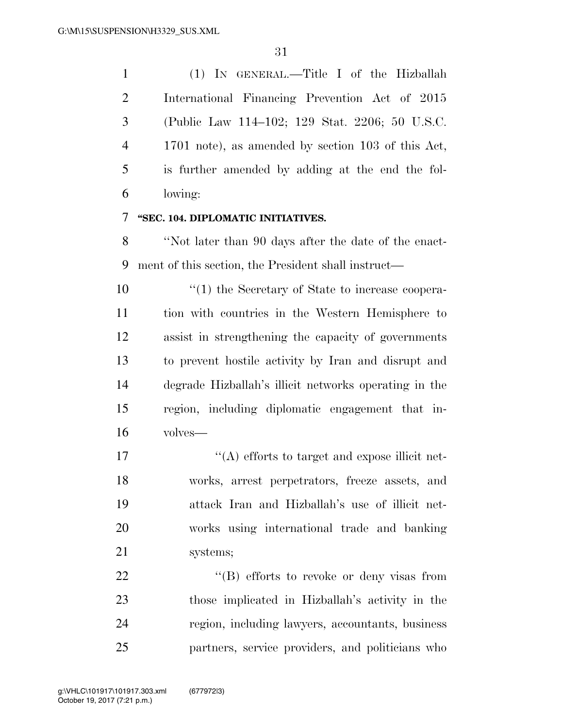(1) IN GENERAL.—Title I of the Hizballah International Financing Prevention Act of 2015 (Public Law 114–102; 129 Stat. 2206; 50 U.S.C. 1701 note), as amended by section 103 of this Act, is further amended by adding at the end the fol-lowing:

### **''SEC. 104. DIPLOMATIC INITIATIVES.**

 ''Not later than 90 days after the date of the enact-ment of this section, the President shall instruct—

 $\frac{1}{2}$  (1) the Secretary of State to increase coopera- tion with countries in the Western Hemisphere to assist in strengthening the capacity of governments to prevent hostile activity by Iran and disrupt and degrade Hizballah's illicit networks operating in the region, including diplomatic engagement that in-volves—

 $\langle (A)$  efforts to target and expose illicit net- works, arrest perpetrators, freeze assets, and attack Iran and Hizballah's use of illicit net- works using international trade and banking systems;

22 "'(B) efforts to revoke or deny visas from those implicated in Hizballah's activity in the region, including lawyers, accountants, business partners, service providers, and politicians who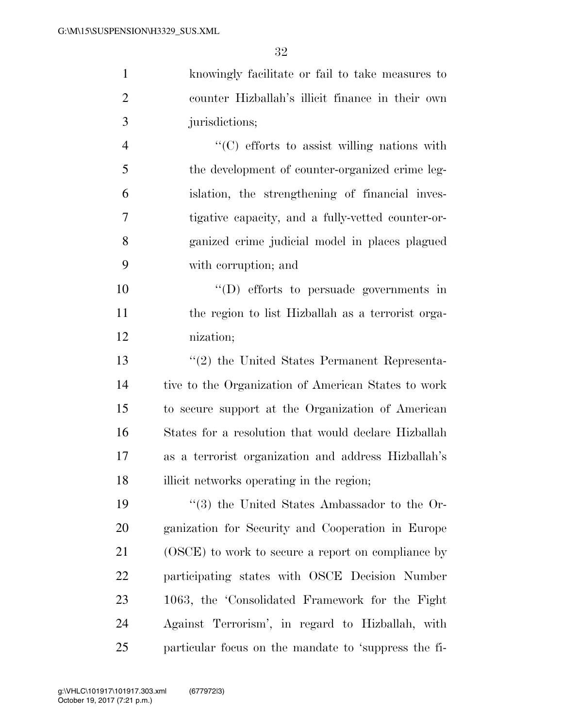knowingly facilitate or fail to take measures to counter Hizballah's illicit finance in their own jurisdictions;

 ''(C) efforts to assist willing nations with the development of counter-organized crime leg- islation, the strengthening of financial inves- tigative capacity, and a fully-vetted counter-or- ganized crime judicial model in places plagued with corruption; and

 ''(D) efforts to persuade governments in the region to list Hizballah as a terrorist orga-nization;

 ''(2) the United States Permanent Representa- tive to the Organization of American States to work to secure support at the Organization of American States for a resolution that would declare Hizballah as a terrorist organization and address Hizballah's 18 illicit networks operating in the region;

 ''(3) the United States Ambassador to the Or- ganization for Security and Cooperation in Europe (OSCE) to work to secure a report on compliance by participating states with OSCE Decision Number 1063, the 'Consolidated Framework for the Fight Against Terrorism', in regard to Hizballah, with particular focus on the mandate to 'suppress the fi-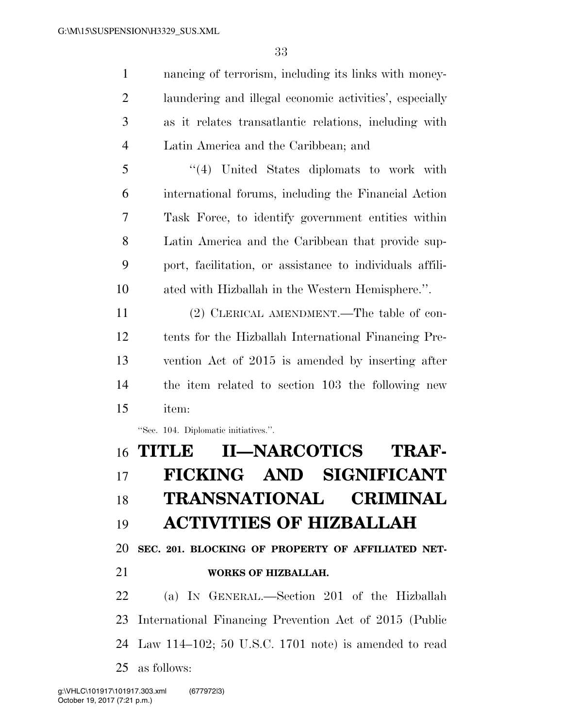nancing of terrorism, including its links with money- laundering and illegal economic activities', especially as it relates transatlantic relations, including with Latin America and the Caribbean; and

 ''(4) United States diplomats to work with international forums, including the Financial Action Task Force, to identify government entities within Latin America and the Caribbean that provide sup- port, facilitation, or assistance to individuals affili-ated with Hizballah in the Western Hemisphere.''.

 (2) CLERICAL AMENDMENT.—The table of con- tents for the Hizballah International Financing Pre- vention Act of 2015 is amended by inserting after the item related to section 103 the following new item:

''Sec. 104. Diplomatic initiatives.''.

# **TITLE II—NARCOTICS TRAF- FICKING AND SIGNIFICANT TRANSNATIONAL CRIMINAL ACTIVITIES OF HIZBALLAH**

**SEC. 201. BLOCKING OF PROPERTY OF AFFILIATED NET-**

**WORKS OF HIZBALLAH.** 

 (a) IN GENERAL.—Section 201 of the Hizballah International Financing Prevention Act of 2015 (Public Law 114–102; 50 U.S.C. 1701 note) is amended to read as follows: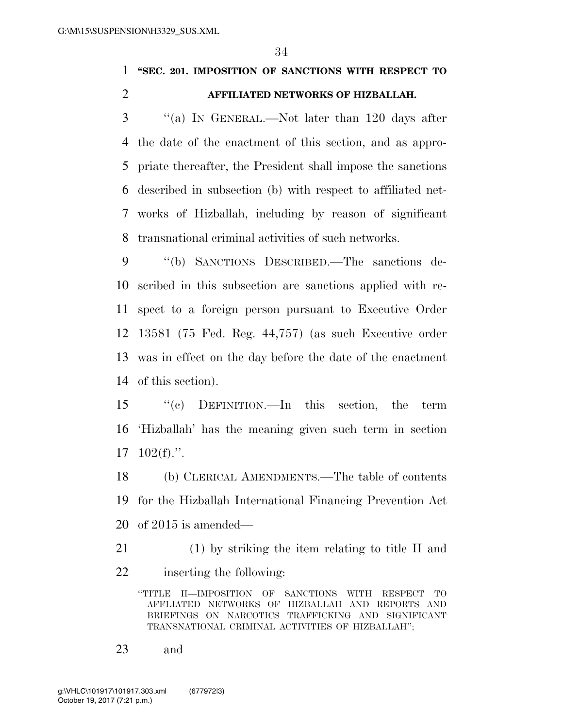### **''SEC. 201. IMPOSITION OF SANCTIONS WITH RESPECT TO AFFILIATED NETWORKS OF HIZBALLAH.**

 ''(a) IN GENERAL.—Not later than 120 days after the date of the enactment of this section, and as appro- priate thereafter, the President shall impose the sanctions described in subsection (b) with respect to affiliated net- works of Hizballah, including by reason of significant transnational criminal activities of such networks.

 ''(b) SANCTIONS DESCRIBED.—The sanctions de- scribed in this subsection are sanctions applied with re- spect to a foreign person pursuant to Executive Order 13581 (75 Fed. Reg. 44,757) (as such Executive order was in effect on the day before the date of the enactment of this section).

 ''(c) DEFINITION.—In this section, the term 'Hizballah' has the meaning given such term in section 102(f).''.

 (b) CLERICAL AMENDMENTS.—The table of contents for the Hizballah International Financing Prevention Act of 2015 is amended—

 (1) by striking the item relating to title II and inserting the following:

''TITLE II—IMPOSITION OF SANCTIONS WITH RESPECT TO AFFLIATED NETWORKS OF HIZBALLAH AND REPORTS AND BRIEFINGS ON NARCOTICS TRAFFICKING AND SIGNIFICANT TRANSNATIONAL CRIMINAL ACTIVITIES OF HIZBALLAH'';

and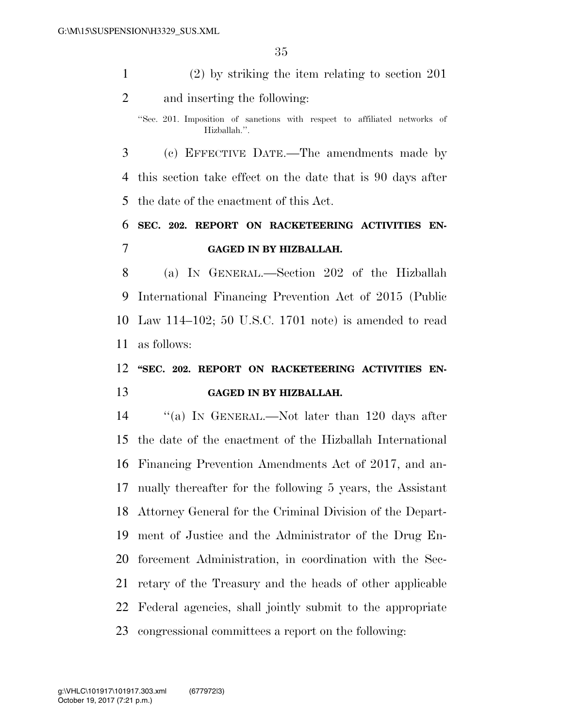(2) by striking the item relating to section 201 and inserting the following:

 (c) EFFECTIVE DATE.—The amendments made by this section take effect on the date that is 90 days after the date of the enactment of this Act.

## **SEC. 202. REPORT ON RACKETEERING ACTIVITIES EN-GAGED IN BY HIZBALLAH.**

 (a) IN GENERAL.—Section 202 of the Hizballah International Financing Prevention Act of 2015 (Public Law 114–102; 50 U.S.C. 1701 note) is amended to read as follows:

## **''SEC. 202. REPORT ON RACKETEERING ACTIVITIES EN-GAGED IN BY HIZBALLAH.**

 ''(a) IN GENERAL.—Not later than 120 days after the date of the enactment of the Hizballah International Financing Prevention Amendments Act of 2017, and an- nually thereafter for the following 5 years, the Assistant Attorney General for the Criminal Division of the Depart- ment of Justice and the Administrator of the Drug En- forcement Administration, in coordination with the Sec- retary of the Treasury and the heads of other applicable Federal agencies, shall jointly submit to the appropriate congressional committees a report on the following:

<sup>&#</sup>x27;'Sec. 201. Imposition of sanctions with respect to affiliated networks of Hizballah.''.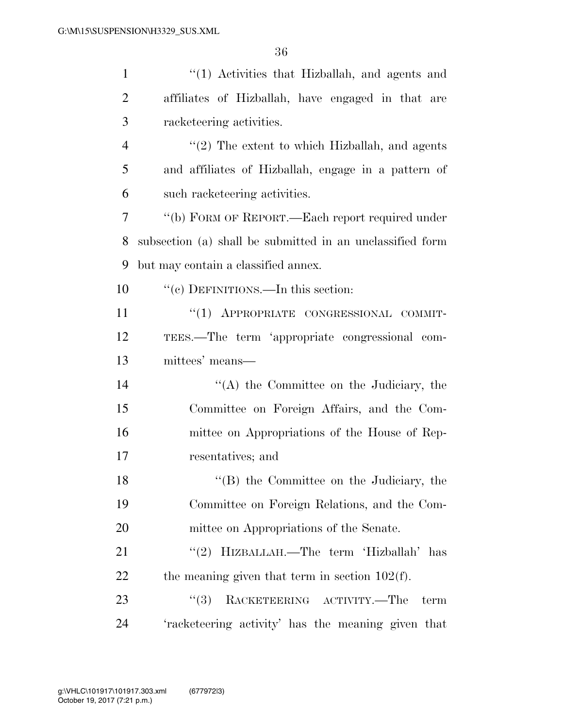| $\mathbf{1}$   | "(1) Activities that Hizballah, and agents and            |
|----------------|-----------------------------------------------------------|
| $\overline{2}$ | affiliates of Hizballah, have engaged in that are         |
| 3              | racketeering activities.                                  |
| $\overline{4}$ | $\lq(2)$ The extent to which Hizballah, and agents        |
| 5              | and affiliates of Hizballah, engage in a pattern of       |
| 6              | such racketeering activities.                             |
| 7              | "(b) FORM OF REPORT.—Each report required under           |
| 8              | subsection (a) shall be submitted in an unclassified form |
| 9              | but may contain a classified annex.                       |
| 10             | "(c) DEFINITIONS.—In this section:                        |
| <sup>11</sup>  | "(1) APPROPRIATE CONGRESSIONAL COMMIT-                    |
| 12             | TEES.—The term 'appropriate congressional com-            |
| 13             | mittees' means—                                           |
| 14             | $\lq\lq$ the Committee on the Judiciary, the              |
| 15             | Committee on Foreign Affairs, and the Com-                |
| 16             | mittee on Appropriations of the House of Rep-             |
| 17             | resentatives; and                                         |
| 18             | "(B) the Committee on the Judiciary, the                  |
| 19             | Committee on Foreign Relations, and the Com-              |
| 20             | mittee on Appropriations of the Senate.                   |
| 21             | "(2) HIZBALLAH.—The term 'Hizballah' has                  |
| 22             | the meaning given that term in section $102(f)$ .         |
| 23             | RACKETEERING ACTIVITY.—The<br>(3)<br>term                 |
| 24             | 'racketeering activity' has the meaning given that        |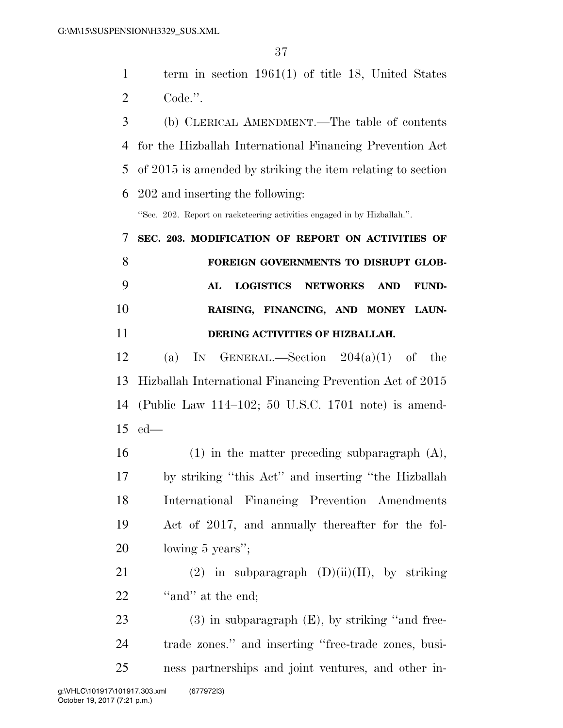term in section 1961(1) of title 18, United States Code.''.

 (b) CLERICAL AMENDMENT.—The table of contents for the Hizballah International Financing Prevention Act of 2015 is amended by striking the item relating to section 202 and inserting the following:

''Sec. 202. Report on racketeering activities engaged in by Hizballah.''.

# **SEC. 203. MODIFICATION OF REPORT ON ACTIVITIES OF FOREIGN GOVERNMENTS TO DISRUPT GLOB- AL LOGISTICS NETWORKS AND FUND- RAISING, FINANCING, AND MONEY LAUN-DERING ACTIVITIES OF HIZBALLAH.**

12 (a) IN GENERAL.—Section  $204(a)(1)$  of the Hizballah International Financing Prevention Act of 2015 (Public Law 114–102; 50 U.S.C. 1701 note) is amend-ed—

 (1) in the matter preceding subparagraph (A), by striking ''this Act'' and inserting ''the Hizballah International Financing Prevention Amendments Act of 2017, and annually thereafter for the fol-lowing 5 years'';

21 (2) in subparagraph  $(D)(ii)(II)$ , by striking 22 "and" at the end;

23 (3) in subparagraph (E), by striking "and free- trade zones.'' and inserting ''free-trade zones, busi-ness partnerships and joint ventures, and other in-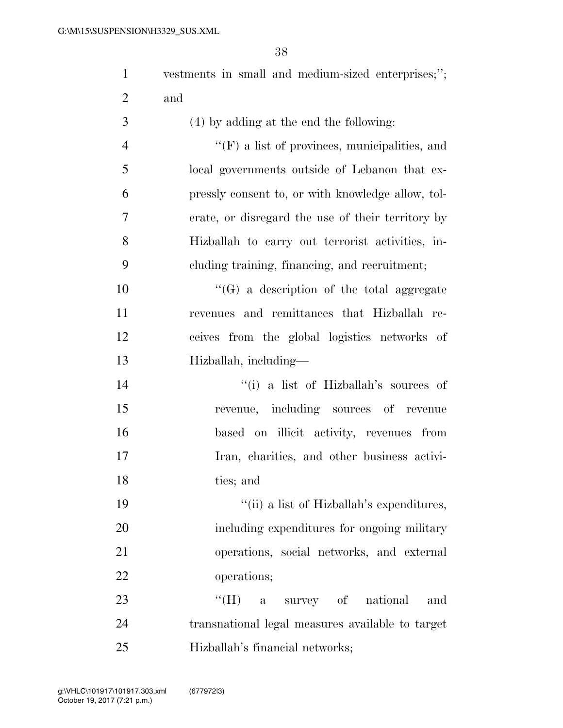| $\mathbf{1}$   | vestments in small and medium-sized enterprises;";   |
|----------------|------------------------------------------------------|
| $\overline{2}$ | and                                                  |
| 3              | (4) by adding at the end the following:              |
| $\overline{4}$ | $\lq\lq(F)$ a list of provinces, municipalities, and |
| 5              | local governments outside of Lebanon that ex-        |
| 6              | pressly consent to, or with knowledge allow, tol-    |
| 7              | erate, or disregard the use of their territory by    |
| 8              | Hizballah to carry out terrorist activities, in-     |
| 9              | cluding training, financing, and recruitment;        |
| 10             | $\lq\lq (G)$ a description of the total aggregate    |
| 11             | revenues and remittances that Hizballah re-          |
| 12             | ceives from the global logistics networks of         |
| 13             | Hizballah, including—                                |
| 14             | "(i) a list of Hizballah's sources of                |
| 15             | revenue, including sources of revenue                |
| 16             | based on illicit activity, revenues from             |
| 17             | Iran, charities, and other business activi-          |
| 18             | ties; and                                            |
| 19             | "(ii) a list of Hizballah's expenditures,            |
| 20             | including expenditures for ongoing military          |
| 21             | operations, social networks, and external            |
| 22             | operations;                                          |
| 23             | $``$ (H)<br>a survey of national<br>and              |
| 24             | transnational legal measures available to target     |
| 25             | Hizballah's financial networks;                      |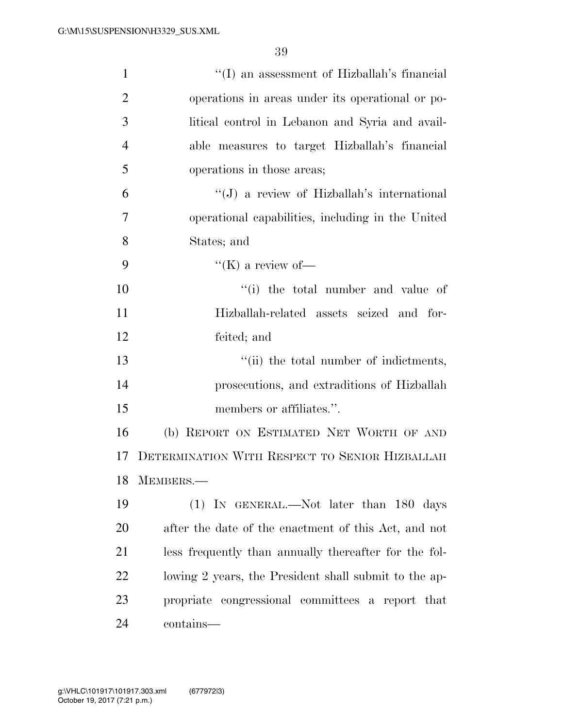| $\mathbf{1}$   | "(I) an assessment of Hizballah's financial           |
|----------------|-------------------------------------------------------|
| $\overline{2}$ | operations in areas under its operational or po-      |
| 3              | litical control in Lebanon and Syria and avail-       |
| $\overline{4}$ | able measures to target Hizballah's financial         |
| 5              | operations in those areas;                            |
| 6              | $\lq\lq(J)$ a review of Hizballah's international     |
| 7              | operational capabilities, including in the United     |
| 8              | States; and                                           |
| 9              | "(K) a review of-                                     |
| 10             | "(i) the total number and value of                    |
| 11             | Hizballah-related assets seized and for-              |
| 12             | feited; and                                           |
| 13             | "(ii) the total number of indictments,                |
| 14             | prosecutions, and extraditions of Hizballah           |
| 15             | members or affiliates.".                              |
| 16             | (b) REPORT ON ESTIMATED NET WORTH OF AND              |
| 17             | DETERMINATION WITH RESPECT TO SENIOR HIZBALLAH        |
| 18             | MEMBERS.                                              |
| 19             | (1) IN GENERAL.—Not later than 180 days               |
| 20             | after the date of the enactment of this Act, and not  |
| 21             | less frequently than annually thereafter for the fol- |
| 22             | lowing 2 years, the President shall submit to the ap- |
| 23             | propriate congressional committees a report that      |
| 24             | contains—                                             |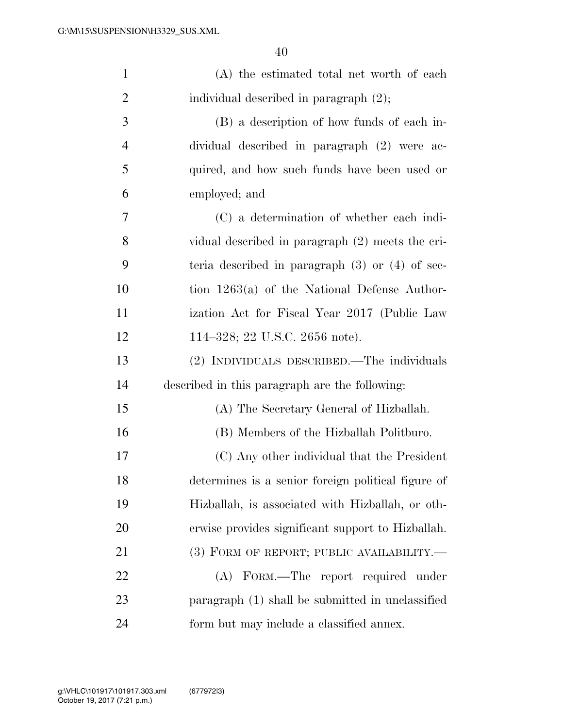| $\mathbf{1}$   | (A) the estimated total net worth of each           |
|----------------|-----------------------------------------------------|
| $\overline{2}$ | individual described in paragraph (2);              |
| 3              | (B) a description of how funds of each in-          |
| $\overline{4}$ | dividual described in paragraph (2) were ac-        |
| 5              | quired, and how such funds have been used or        |
| 6              | employed; and                                       |
| 7              | (C) a determination of whether each indi-           |
| 8              | vidual described in paragraph (2) meets the cri-    |
| 9              | teria described in paragraph $(3)$ or $(4)$ of sec- |
| 10             | tion $1263(a)$ of the National Defense Author-      |
| 11             | ization Act for Fiscal Year 2017 (Public Law        |
| 12             | 114–328; 22 U.S.C. 2656 note).                      |
| 13             | (2) INDIVIDUALS DESCRIBED.—The individuals          |
| 14             | described in this paragraph are the following:      |
| 15             | (A) The Secretary General of Hizballah.             |
| 16             | (B) Members of the Hizballah Politburo.             |
| 17             | (C) Any other individual that the President         |
| 18             | determines is a senior foreign political figure of  |
| 19             | Hizballah, is associated with Hizballah, or oth-    |
| 20             | erwise provides significant support to Hizballah.   |
| 21             | (3) FORM OF REPORT; PUBLIC AVAILABILITY.—           |
| 22             | (A) FORM.—The report required under                 |
| 23             | paragraph (1) shall be submitted in unclassified    |
| 24             | form but may include a classified annex.            |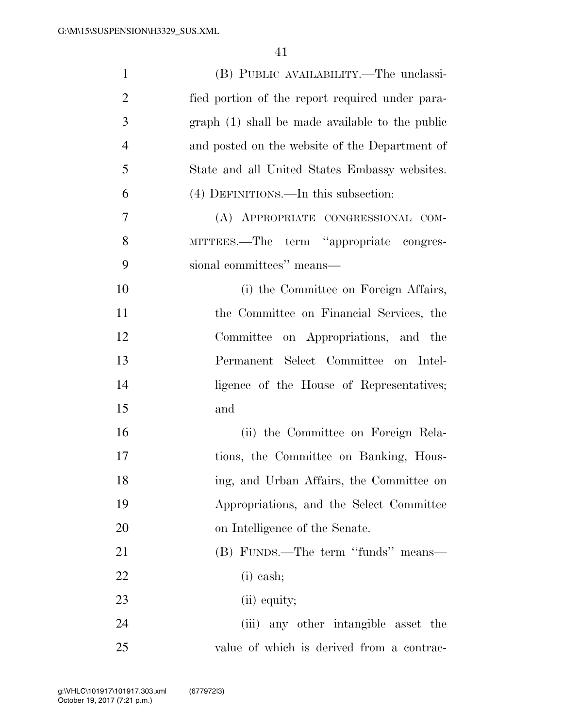| $\mathbf{1}$   | (B) PUBLIC AVAILABILITY.—The unclassi-          |
|----------------|-------------------------------------------------|
| $\overline{2}$ | fied portion of the report required under para- |
| 3              | graph (1) shall be made available to the public |
| $\overline{4}$ | and posted on the website of the Department of  |
| 5              | State and all United States Embassy websites.   |
| 6              | (4) DEFINITIONS.—In this subsection:            |
| 7              | (A) APPROPRIATE CONGRESSIONAL COM-              |
| 8              | MITTEES.—The term "appropriate congres-         |
| 9              | sional committees" means—                       |
| 10             | (i) the Committee on Foreign Affairs,           |
| 11             | the Committee on Financial Services, the        |
| 12             | Committee on Appropriations, and the            |
| 13             | Permanent Select Committee on Intel-            |
| 14             | ligence of the House of Representatives;        |
| 15             | and                                             |
| 16             | (ii) the Committee on Foreign Rela-             |
| 17             | tions, the Committee on Banking, Hous-          |
| 18             | ing, and Urban Affairs, the Committee on        |
| 19             | Appropriations, and the Select Committee        |
| 20             | on Intelligence of the Senate.                  |
| 21             | (B) FUNDS.—The term "funds" means—              |
| 22             | $(i)$ cash;                                     |
| 23             | (ii) equity;                                    |
| 24             | (iii) any other intangible asset the            |
| 25             | value of which is derived from a contrac-       |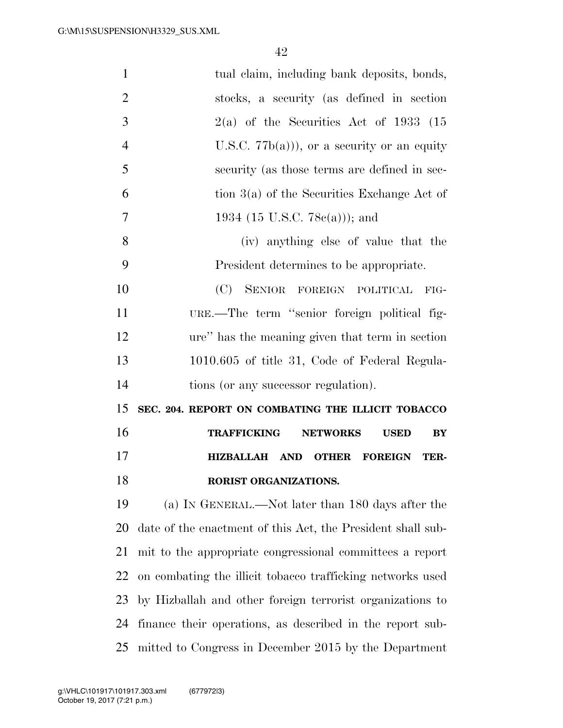| $\mathbf{1}$   | tual claim, including bank deposits, bonds,                 |
|----------------|-------------------------------------------------------------|
| $\overline{2}$ | stocks, a security (as defined in section                   |
| 3              | $2(a)$ of the Securities Act of 1933 (15                    |
| $\overline{4}$ | U.S.C. $77b(a)$ , or a security or an equity                |
| 5              | security (as those terms are defined in sec-                |
| 6              | tion $3(a)$ of the Securities Exchange Act of               |
| $\overline{7}$ | 1934 (15 U.S.C. 78 $e(a)$ )); and                           |
| 8              | (iv) anything else of value that the                        |
| 9              | President determines to be appropriate.                     |
| 10             | (C)<br>SENIOR FOREIGN POLITICAL<br>FIG-                     |
| 11             | URE.—The term "senior foreign political fig-                |
| 12             | ure" has the meaning given that term in section             |
| 13             | 1010.605 of title 31, Code of Federal Regula-               |
| 14             | tions (or any successor regulation).                        |
| 15             | SEC. 204. REPORT ON COMBATING THE ILLICIT TOBACCO           |
| 16             | <b>TRAFFICKING</b><br><b>NETWORKS</b><br>BY<br><b>USED</b>  |
| 17             | <b>HIZBALLAH</b><br>AND OTHER<br><b>FOREIGN</b><br>TER-     |
| 18             | RORIST ORGANIZATIONS.                                       |
| 19             | (a) IN GENERAL.—Not later than 180 days after the           |
| 20             | date of the enactment of this Act, the President shall sub- |
| 21             | mit to the appropriate congressional committees a report    |
| 22             | on combating the illicit tobacco trafficking networks used  |
| 23             | by Hizballah and other foreign terrorist organizations to   |
| 24             |                                                             |
|                | finance their operations, as described in the report sub-   |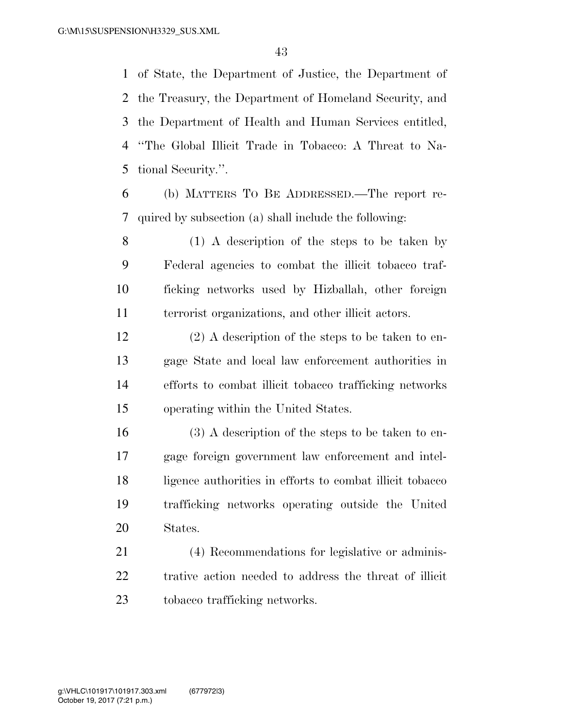of State, the Department of Justice, the Department of the Treasury, the Department of Homeland Security, and the Department of Health and Human Services entitled, ''The Global Illicit Trade in Tobacco: A Threat to Na-tional Security.''.

 (b) MATTERS TO BE ADDRESSED.—The report re-quired by subsection (a) shall include the following:

 (1) A description of the steps to be taken by Federal agencies to combat the illicit tobacco traf- ficking networks used by Hizballah, other foreign terrorist organizations, and other illicit actors.

 (2) A description of the steps to be taken to en- gage State and local law enforcement authorities in efforts to combat illicit tobacco trafficking networks operating within the United States.

 (3) A description of the steps to be taken to en- gage foreign government law enforcement and intel- ligence authorities in efforts to combat illicit tobacco trafficking networks operating outside the United States.

 (4) Recommendations for legislative or adminis- trative action needed to address the threat of illicit tobacco trafficking networks.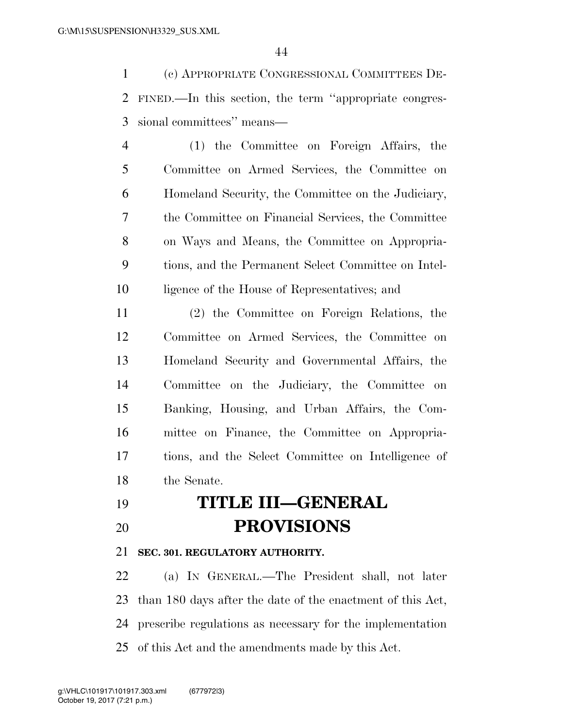(c) APPROPRIATE CONGRESSIONAL COMMITTEES DE- FINED.—In this section, the term ''appropriate congres-sional committees'' means—

 (1) the Committee on Foreign Affairs, the Committee on Armed Services, the Committee on Homeland Security, the Committee on the Judiciary, the Committee on Financial Services, the Committee on Ways and Means, the Committee on Appropria- tions, and the Permanent Select Committee on Intel-ligence of the House of Representatives; and

 (2) the Committee on Foreign Relations, the Committee on Armed Services, the Committee on Homeland Security and Governmental Affairs, the Committee on the Judiciary, the Committee on Banking, Housing, and Urban Affairs, the Com- mittee on Finance, the Committee on Appropria- tions, and the Select Committee on Intelligence of the Senate.

 **TITLE III—GENERAL PROVISIONS** 

### **SEC. 301. REGULATORY AUTHORITY.**

 (a) IN GENERAL.—The President shall, not later than 180 days after the date of the enactment of this Act, prescribe regulations as necessary for the implementation of this Act and the amendments made by this Act.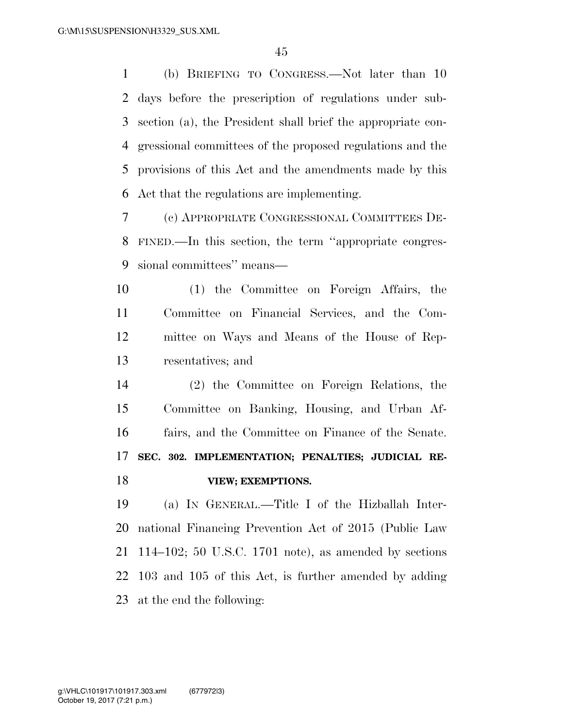(b) BRIEFING TO CONGRESS.—Not later than 10 days before the prescription of regulations under sub- section (a), the President shall brief the appropriate con- gressional committees of the proposed regulations and the provisions of this Act and the amendments made by this Act that the regulations are implementing.

 (c) APPROPRIATE CONGRESSIONAL COMMITTEES DE- FINED.—In this section, the term ''appropriate congres-sional committees'' means—

 (1) the Committee on Foreign Affairs, the Committee on Financial Services, and the Com- mittee on Ways and Means of the House of Rep-resentatives; and

 (2) the Committee on Foreign Relations, the Committee on Banking, Housing, and Urban Af- fairs, and the Committee on Finance of the Senate. **SEC. 302. IMPLEMENTATION; PENALTIES; JUDICIAL RE-VIEW; EXEMPTIONS.** 

 (a) IN GENERAL.—Title I of the Hizballah Inter- national Financing Prevention Act of 2015 (Public Law 114–102; 50 U.S.C. 1701 note), as amended by sections 103 and 105 of this Act, is further amended by adding at the end the following: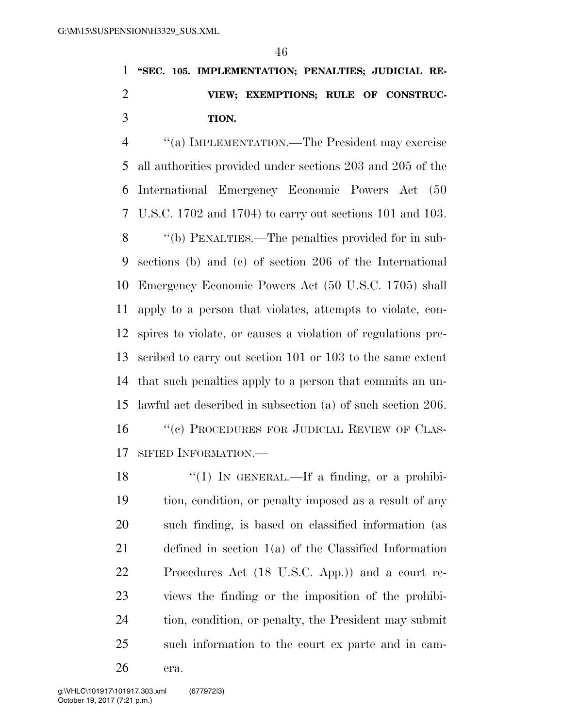## **''SEC. 105. IMPLEMENTATION; PENALTIES; JUDICIAL RE- VIEW; EXEMPTIONS; RULE OF CONSTRUC-TION.**

 ''(a) IMPLEMENTATION.—The President may exercise all authorities provided under sections 203 and 205 of the International Emergency Economic Powers Act (50 U.S.C. 1702 and 1704) to carry out sections 101 and 103. ''(b) PENALTIES.—The penalties provided for in sub- sections (b) and (c) of section 206 of the International Emergency Economic Powers Act (50 U.S.C. 1705) shall apply to a person that violates, attempts to violate, con- spires to violate, or causes a violation of regulations pre- scribed to carry out section 101 or 103 to the same extent that such penalties apply to a person that commits an un-lawful act described in subsection (a) of such section 206.

16 "(c) PROCEDURES FOR JUDICIAL REVIEW OF CLAS-SIFIED INFORMATION.—

 $\frac{1}{2}$  (1) In GENERAL.—If a finding, or a prohibi- tion, condition, or penalty imposed as a result of any such finding, is based on classified information (as defined in section 1(a) of the Classified Information Procedures Act (18 U.S.C. App.)) and a court re- views the finding or the imposition of the prohibi- tion, condition, or penalty, the President may submit such information to the court ex parte and in cam-

era.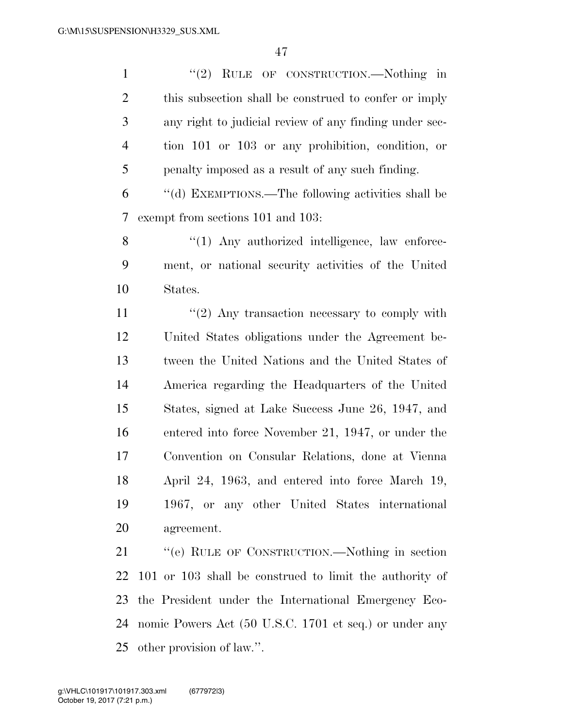1 "(2) RULE OF CONSTRUCTION.—Nothing in this subsection shall be construed to confer or imply any right to judicial review of any finding under sec- tion 101 or 103 or any prohibition, condition, or penalty imposed as a result of any such finding. ''(d) EXEMPTIONS.—The following activities shall be exempt from sections 101 and 103: 8 "(1) Any authorized intelligence, law enforce- ment, or national security activities of the United States.  $\frac{11}{2}$  ''(2) Any transaction necessary to comply with United States obligations under the Agreement be- tween the United Nations and the United States of America regarding the Headquarters of the United States, signed at Lake Success June 26, 1947, and entered into force November 21, 1947, or under the Convention on Consular Relations, done at Vienna April 24, 1963, and entered into force March 19, 1967, or any other United States international agreement. ''(e) RULE OF CONSTRUCTION.—Nothing in section 101 or 103 shall be construed to limit the authority of the President under the International Emergency Eco-nomic Powers Act (50 U.S.C. 1701 et seq.) or under any

other provision of law.''.